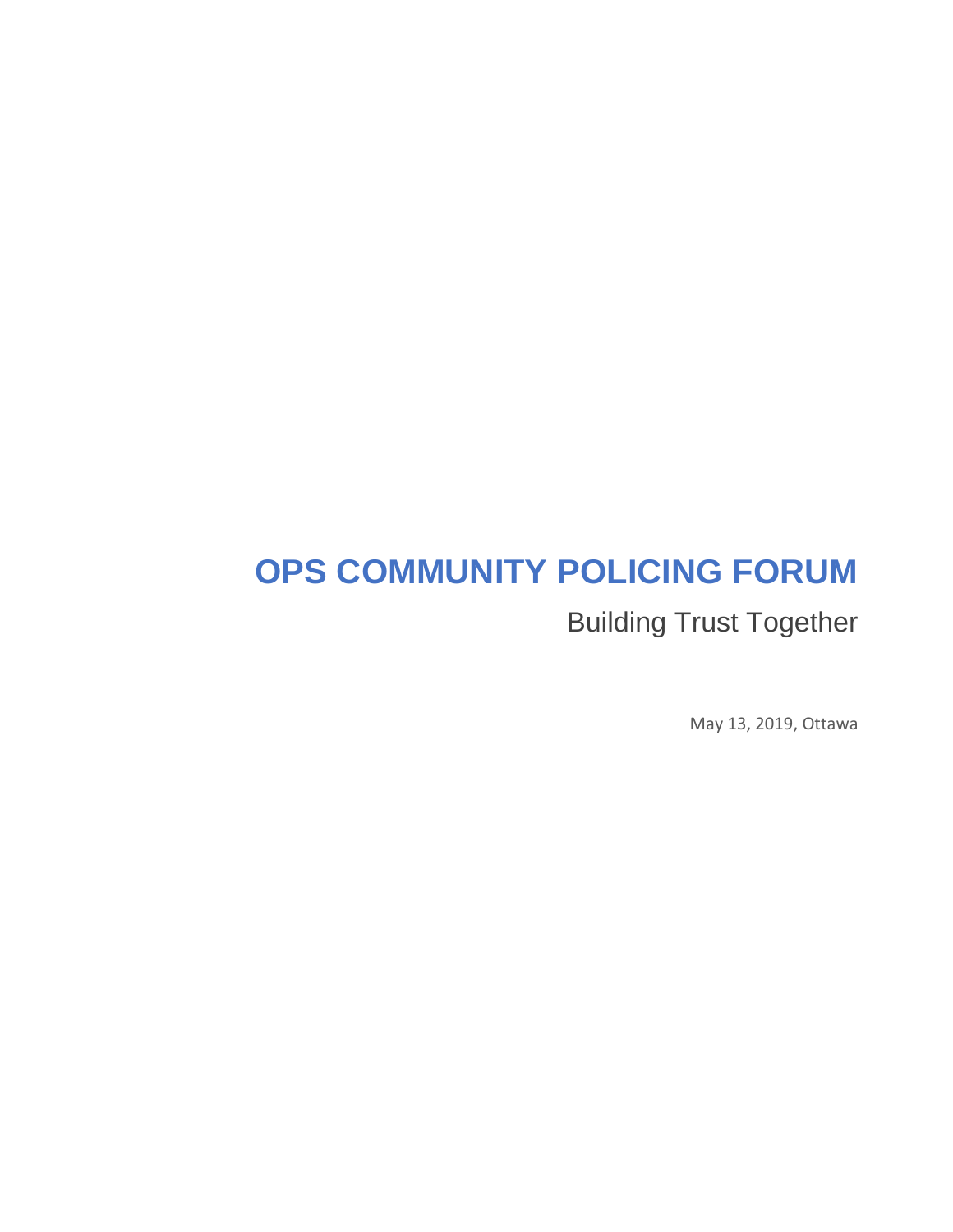# **OPS COMMUNITY POLICING FORUM**

Building Trust Together

May 13, 2019, Ottawa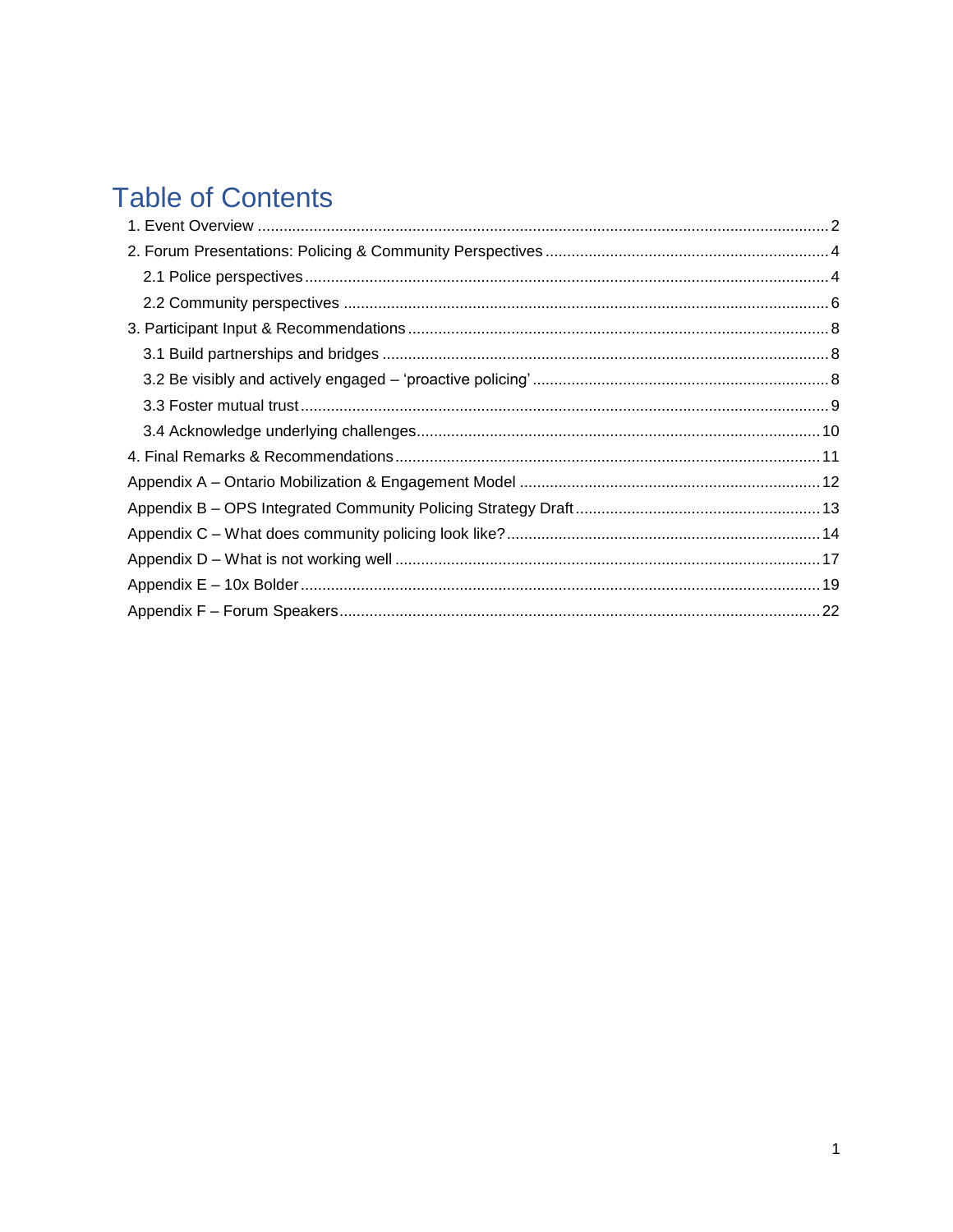# **Table of Contents**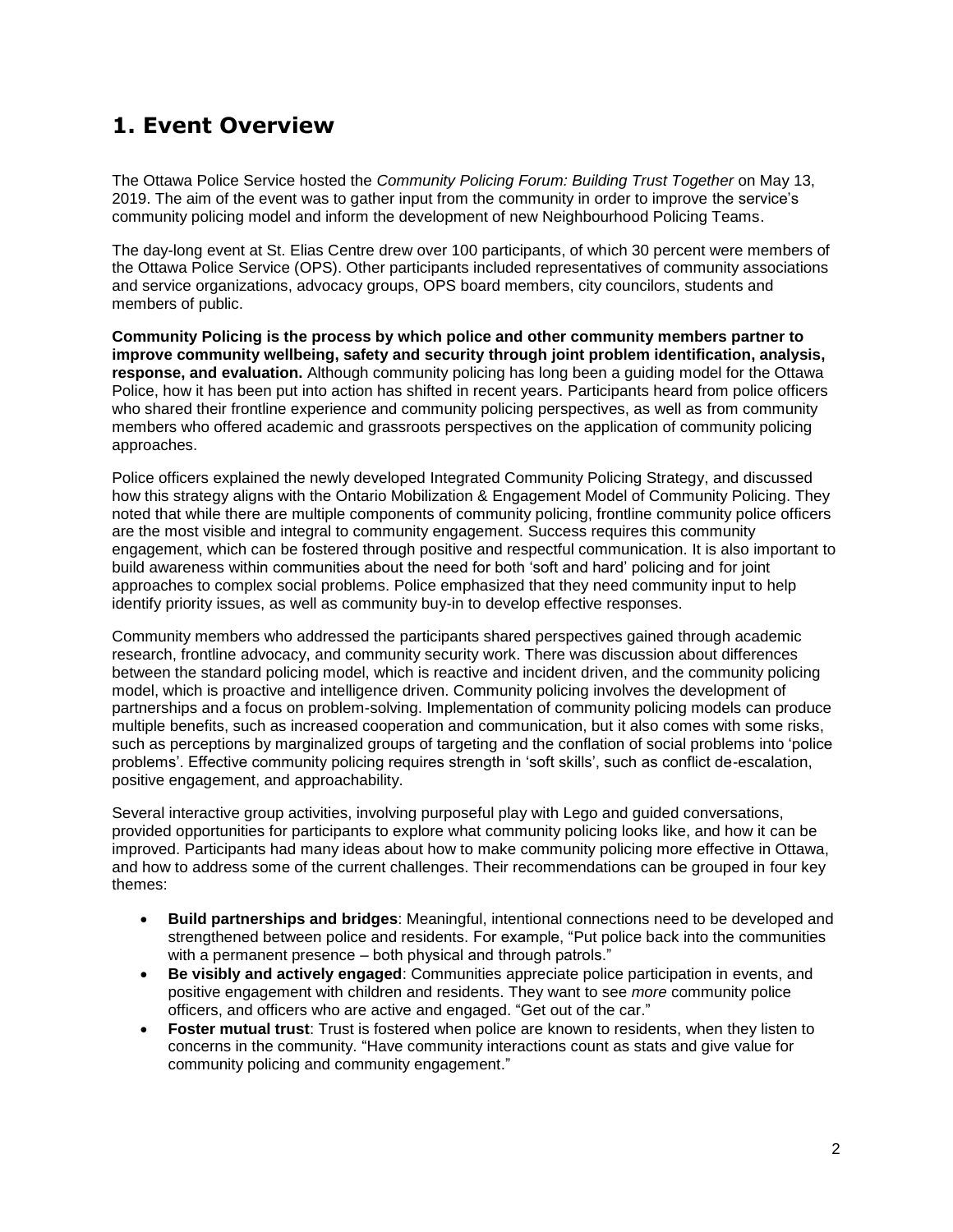# <span id="page-2-0"></span>**1. Event Overview**

The Ottawa Police Service hosted the *Community Policing Forum: Building Trust Together* on May 13, 2019. The aim of the event was to gather input from the community in order to improve the service"s community policing model and inform the development of new Neighbourhood Policing Teams.

The day-long event at St. Elias Centre drew over 100 participants, of which 30 percent were members of the Ottawa Police Service (OPS). Other participants included representatives of community associations and service organizations, advocacy groups, OPS board members, city councilors, students and members of public.

**Community Policing is the process by which police and other community members partner to improve community wellbeing, safety and security through joint problem identification, analysis, response, and evaluation.** Although community policing has long been a guiding model for the Ottawa Police, how it has been put into action has shifted in recent years. Participants heard from police officers who shared their frontline experience and community policing perspectives, as well as from community members who offered academic and grassroots perspectives on the application of community policing approaches.

Police officers explained the newly developed Integrated Community Policing Strategy, and discussed how this strategy aligns with the Ontario Mobilization & Engagement Model of Community Policing. They noted that while there are multiple components of community policing, frontline community police officers are the most visible and integral to community engagement. Success requires this community engagement, which can be fostered through positive and respectful communication. It is also important to build awareness within communities about the need for both "soft and hard" policing and for joint approaches to complex social problems. Police emphasized that they need community input to help identify priority issues, as well as community buy-in to develop effective responses.

Community members who addressed the participants shared perspectives gained through academic research, frontline advocacy, and community security work. There was discussion about differences between the standard policing model, which is reactive and incident driven, and the community policing model, which is proactive and intelligence driven. Community policing involves the development of partnerships and a focus on problem-solving. Implementation of community policing models can produce multiple benefits, such as increased cooperation and communication, but it also comes with some risks, such as perceptions by marginalized groups of targeting and the conflation of social problems into "police problems'. Effective community policing requires strength in 'soft skills', such as conflict de-escalation, positive engagement, and approachability.

Several interactive group activities, involving purposeful play with Lego and guided conversations, provided opportunities for participants to explore what community policing looks like, and how it can be improved. Participants had many ideas about how to make community policing more effective in Ottawa, and how to address some of the current challenges. Their recommendations can be grouped in four key themes:

- **Build partnerships and bridges**: Meaningful, intentional connections need to be developed and strengthened between police and residents. For example, "Put police back into the communities with a permanent presence – both physical and through patrols."
- **Be visibly and actively engaged**: Communities appreciate police participation in events, and positive engagement with children and residents. They want to see *more* community police officers, and officers who are active and engaged. "Get out of the car."
- **Foster mutual trust**: Trust is fostered when police are known to residents, when they listen to concerns in the community. "Have community interactions count as stats and give value for community policing and community engagement."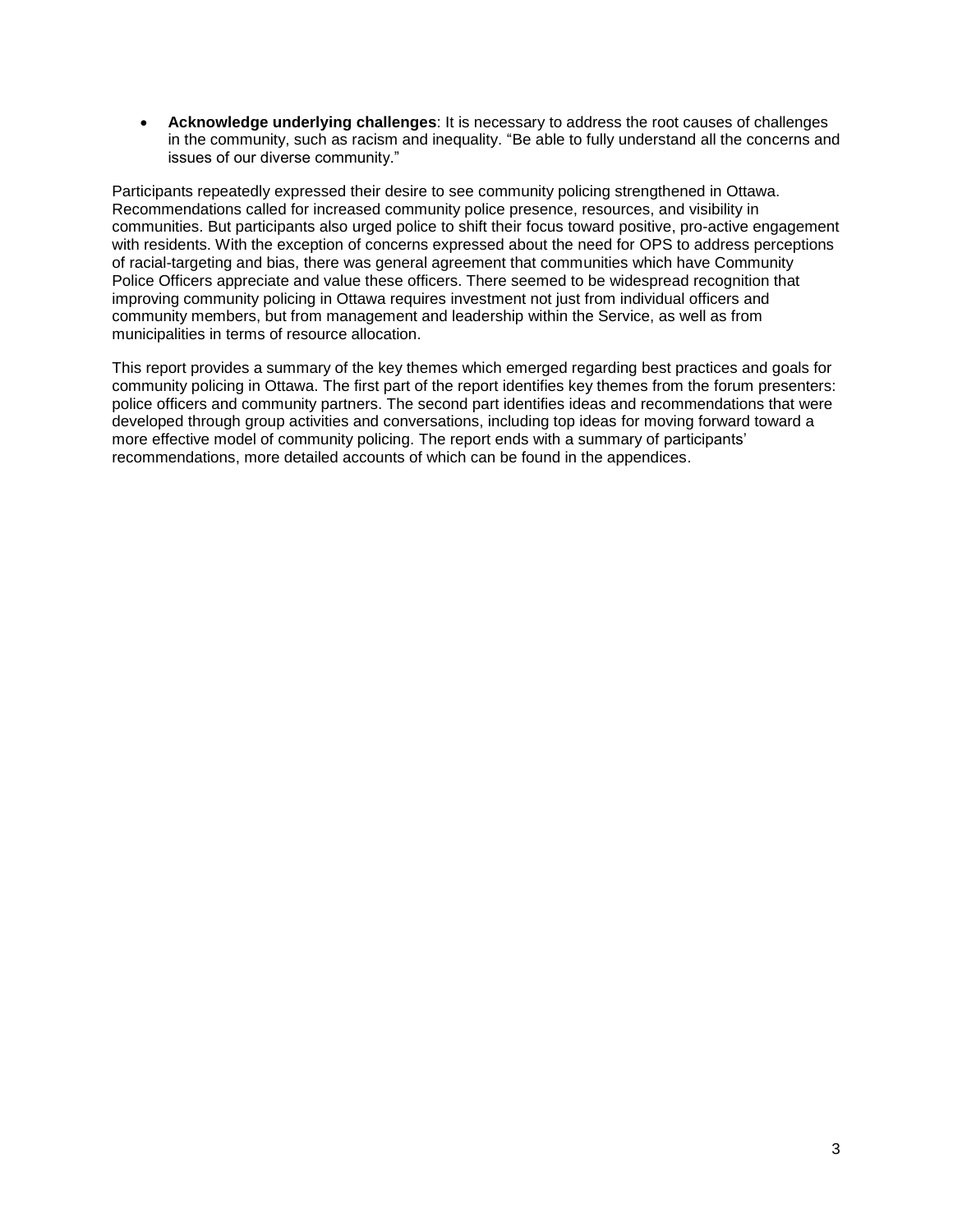**Acknowledge underlying challenges**: It is necessary to address the root causes of challenges in the community, such as racism and inequality. "Be able to fully understand all the concerns and issues of our diverse community."

Participants repeatedly expressed their desire to see community policing strengthened in Ottawa. Recommendations called for increased community police presence, resources, and visibility in communities. But participants also urged police to shift their focus toward positive, pro-active engagement with residents. With the exception of concerns expressed about the need for OPS to address perceptions of racial-targeting and bias, there was general agreement that communities which have Community Police Officers appreciate and value these officers. There seemed to be widespread recognition that improving community policing in Ottawa requires investment not just from individual officers and community members, but from management and leadership within the Service, as well as from municipalities in terms of resource allocation.

This report provides a summary of the key themes which emerged regarding best practices and goals for community policing in Ottawa. The first part of the report identifies key themes from the forum presenters: police officers and community partners. The second part identifies ideas and recommendations that were developed through group activities and conversations, including top ideas for moving forward toward a more effective model of community policing. The report ends with a summary of participants" recommendations, more detailed accounts of which can be found in the appendices.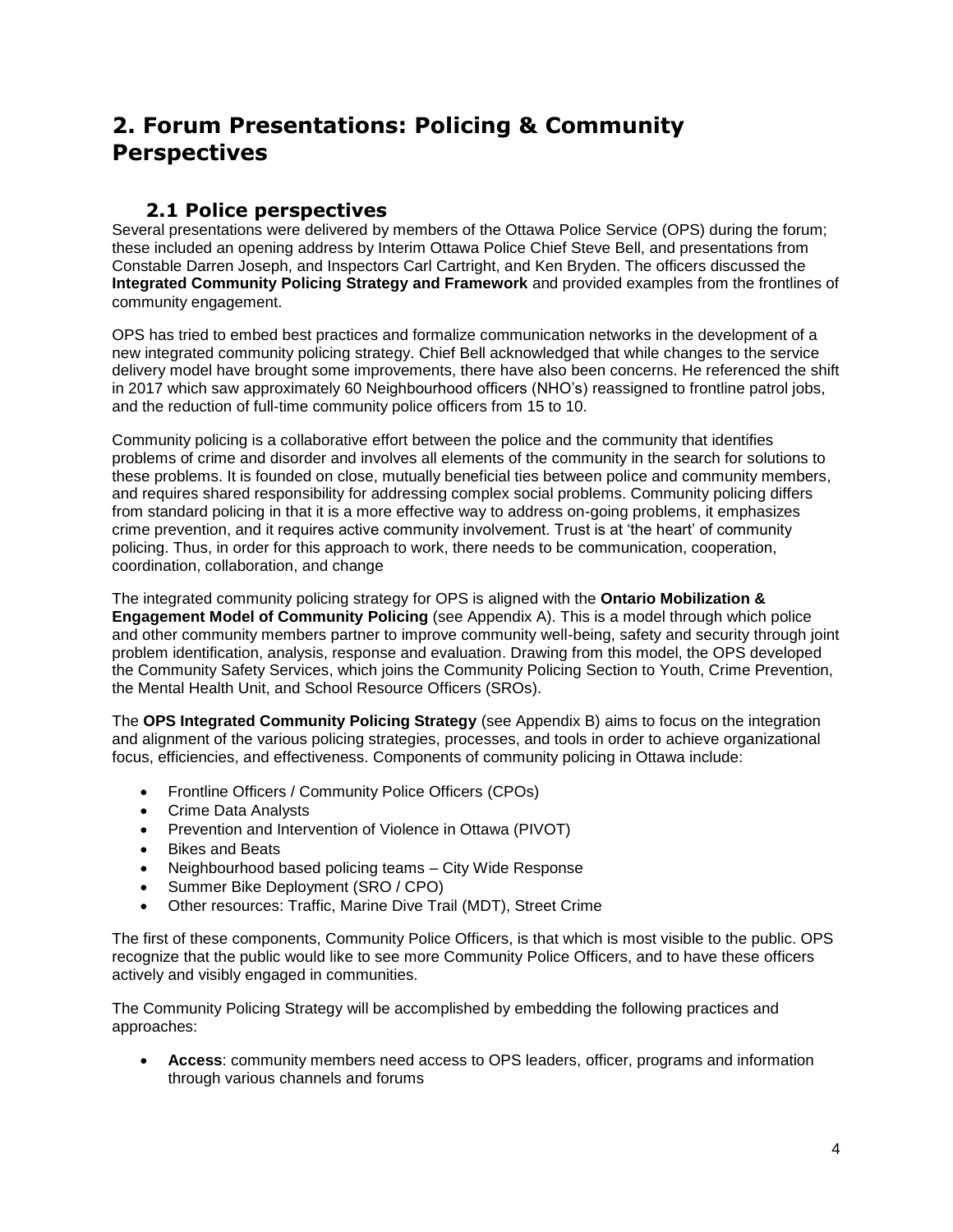## <span id="page-4-0"></span>**2. Forum Presentations: Policing & Community Perspectives**

### **2.1 Police perspectives**

<span id="page-4-1"></span>Several presentations were delivered by members of the Ottawa Police Service (OPS) during the forum; these included an opening address by Interim Ottawa Police Chief Steve Bell, and presentations from Constable Darren Joseph, and Inspectors Carl Cartright, and Ken Bryden. The officers discussed the **Integrated Community Policing Strategy and Framework** and provided examples from the frontlines of community engagement.

OPS has tried to embed best practices and formalize communication networks in the development of a new integrated community policing strategy. Chief Bell acknowledged that while changes to the service delivery model have brought some improvements, there have also been concerns. He referenced the shift in 2017 which saw approximately 60 Neighbourhood officers (NHO"s) reassigned to frontline patrol jobs, and the reduction of full-time community police officers from 15 to 10.

Community policing is a collaborative effort between the police and the community that identifies problems of crime and disorder and involves all elements of the community in the search for solutions to these problems. It is founded on close, mutually beneficial ties between police and community members, and requires shared responsibility for addressing complex social problems. Community policing differs from standard policing in that it is a more effective way to address on-going problems, it emphasizes crime prevention, and it requires active community involvement. Trust is at "the heart" of community policing. Thus, in order for this approach to work, there needs to be communication, cooperation, coordination, collaboration, and change

The integrated community policing strategy for OPS is aligned with the **Ontario Mobilization & Engagement Model of Community Policing** (see Appendix A). This is a model through which police and other community members partner to improve community well-being, safety and security through joint problem identification, analysis, response and evaluation. Drawing from this model, the OPS developed the Community Safety Services, which joins the Community Policing Section to Youth, Crime Prevention, the Mental Health Unit, and School Resource Officers (SROs).

The **OPS Integrated Community Policing Strategy** (see Appendix B) aims to focus on the integration and alignment of the various policing strategies, processes, and tools in order to achieve organizational focus, efficiencies, and effectiveness. Components of community policing in Ottawa include:

- Frontline Officers / Community Police Officers (CPOs)
- Crime Data Analysts
- Prevention and Intervention of Violence in Ottawa (PIVOT)
- Bikes and Beats
- Neighbourhood based policing teams City Wide Response
- Summer Bike Deployment (SRO / CPO)
- Other resources: Traffic, Marine Dive Trail (MDT), Street Crime

The first of these components, Community Police Officers, is that which is most visible to the public. OPS recognize that the public would like to see more Community Police Officers, and to have these officers actively and visibly engaged in communities.

The Community Policing Strategy will be accomplished by embedding the following practices and approaches:

 **Access**: community members need access to OPS leaders, officer, programs and information through various channels and forums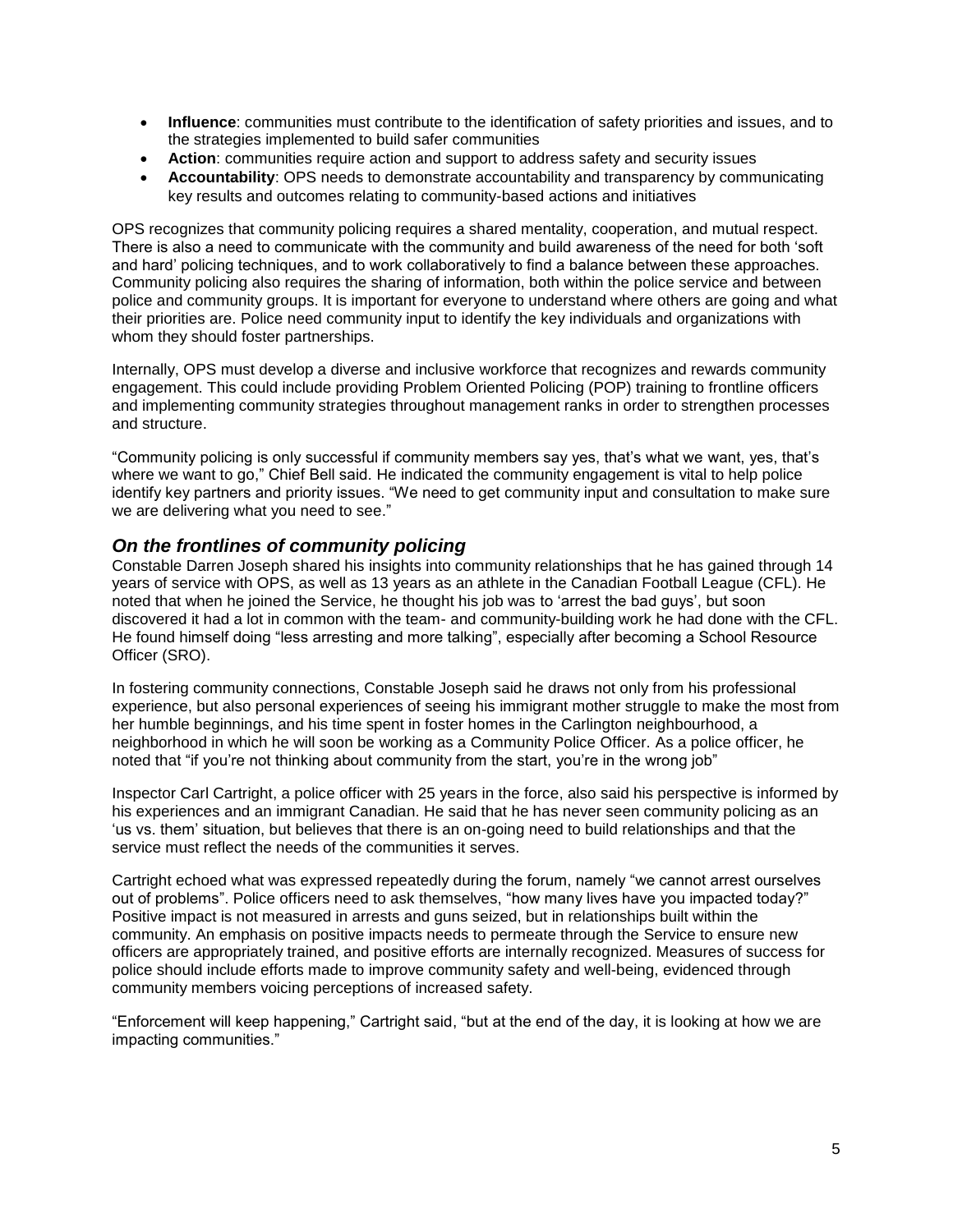- **Influence**: communities must contribute to the identification of safety priorities and issues, and to the strategies implemented to build safer communities
- **Action**: communities require action and support to address safety and security issues
- **Accountability**: OPS needs to demonstrate accountability and transparency by communicating key results and outcomes relating to community-based actions and initiatives

OPS recognizes that community policing requires a shared mentality, cooperation, and mutual respect. There is also a need to communicate with the community and build awareness of the need for both "soft and hard" policing techniques, and to work collaboratively to find a balance between these approaches. Community policing also requires the sharing of information, both within the police service and between police and community groups. It is important for everyone to understand where others are going and what their priorities are. Police need community input to identify the key individuals and organizations with whom they should foster partnerships.

Internally, OPS must develop a diverse and inclusive workforce that recognizes and rewards community engagement. This could include providing Problem Oriented Policing (POP) training to frontline officers and implementing community strategies throughout management ranks in order to strengthen processes and structure.

"Community policing is only successful if community members say yes, that"s what we want, yes, that"s where we want to go," Chief Bell said. He indicated the community engagement is vital to help police identify key partners and priority issues. "We need to get community input and consultation to make sure we are delivering what you need to see."

#### *On the frontlines of community policing*

Constable Darren Joseph shared his insights into community relationships that he has gained through 14 years of service with OPS, as well as 13 years as an athlete in the Canadian Football League (CFL). He noted that when he joined the Service, he thought his job was to "arrest the bad guys", but soon discovered it had a lot in common with the team- and community-building work he had done with the CFL. He found himself doing "less arresting and more talking", especially after becoming a School Resource Officer (SRO).

In fostering community connections, Constable Joseph said he draws not only from his professional experience, but also personal experiences of seeing his immigrant mother struggle to make the most from her humble beginnings, and his time spent in foster homes in the Carlington neighbourhood, a neighborhood in which he will soon be working as a Community Police Officer. As a police officer, he noted that "if you"re not thinking about community from the start, you"re in the wrong job"

Inspector Carl Cartright, a police officer with 25 years in the force, also said his perspective is informed by his experiences and an immigrant Canadian. He said that he has never seen community policing as an "us vs. them" situation, but believes that there is an on-going need to build relationships and that the service must reflect the needs of the communities it serves.

Cartright echoed what was expressed repeatedly during the forum, namely "we cannot arrest ourselves out of problems". Police officers need to ask themselves, "how many lives have you impacted today?" Positive impact is not measured in arrests and guns seized, but in relationships built within the community. An emphasis on positive impacts needs to permeate through the Service to ensure new officers are appropriately trained, and positive efforts are internally recognized. Measures of success for police should include efforts made to improve community safety and well-being, evidenced through community members voicing perceptions of increased safety.

"Enforcement will keep happening," Cartright said, "but at the end of the day, it is looking at how we are impacting communities."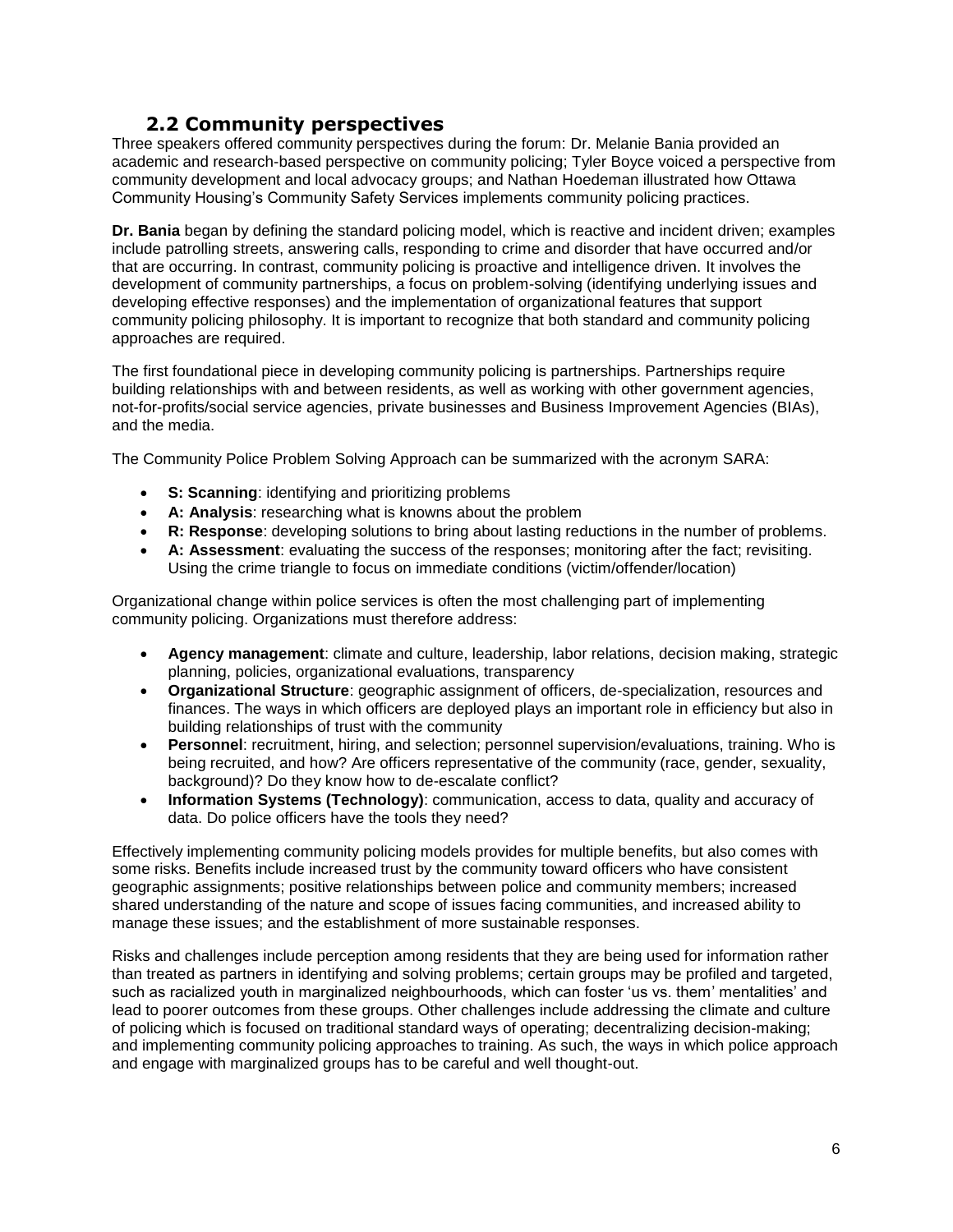### **2.2 Community perspectives**

<span id="page-6-0"></span>Three speakers offered community perspectives during the forum: Dr. Melanie Bania provided an academic and research-based perspective on community policing; Tyler Boyce voiced a perspective from community development and local advocacy groups; and Nathan Hoedeman illustrated how Ottawa Community Housing"s Community Safety Services implements community policing practices.

**Dr. Bania** began by defining the standard policing model, which is reactive and incident driven; examples include patrolling streets, answering calls, responding to crime and disorder that have occurred and/or that are occurring. In contrast, community policing is proactive and intelligence driven. It involves the development of community partnerships, a focus on problem-solving (identifying underlying issues and developing effective responses) and the implementation of organizational features that support community policing philosophy. It is important to recognize that both standard and community policing approaches are required.

The first foundational piece in developing community policing is partnerships. Partnerships require building relationships with and between residents, as well as working with other government agencies, not-for-profits/social service agencies, private businesses and Business Improvement Agencies (BIAs), and the media.

The Community Police Problem Solving Approach can be summarized with the acronym SARA:

- **S: Scanning**: identifying and prioritizing problems
- **A: Analysis**: researching what is knowns about the problem
- **R: Response**: developing solutions to bring about lasting reductions in the number of problems.
- **A: Assessment**: evaluating the success of the responses; monitoring after the fact; revisiting. Using the crime triangle to focus on immediate conditions (victim/offender/location)

Organizational change within police services is often the most challenging part of implementing community policing. Organizations must therefore address:

- **Agency management**: climate and culture, leadership, labor relations, decision making, strategic planning, policies, organizational evaluations, transparency
- **Organizational Structure**: geographic assignment of officers, de-specialization, resources and finances. The ways in which officers are deployed plays an important role in efficiency but also in building relationships of trust with the community
- **Personnel**: recruitment, hiring, and selection; personnel supervision/evaluations, training. Who is being recruited, and how? Are officers representative of the community (race, gender, sexuality, background)? Do they know how to de-escalate conflict?
- **Information Systems (Technology)**: communication, access to data, quality and accuracy of data. Do police officers have the tools they need?

Effectively implementing community policing models provides for multiple benefits, but also comes with some risks. Benefits include increased trust by the community toward officers who have consistent geographic assignments; positive relationships between police and community members; increased shared understanding of the nature and scope of issues facing communities, and increased ability to manage these issues; and the establishment of more sustainable responses.

Risks and challenges include perception among residents that they are being used for information rather than treated as partners in identifying and solving problems; certain groups may be profiled and targeted, such as racialized youth in marginalized neighbourhoods, which can foster "us vs. them" mentalities" and lead to poorer outcomes from these groups. Other challenges include addressing the climate and culture of policing which is focused on traditional standard ways of operating; decentralizing decision-making; and implementing community policing approaches to training. As such, the ways in which police approach and engage with marginalized groups has to be careful and well thought-out.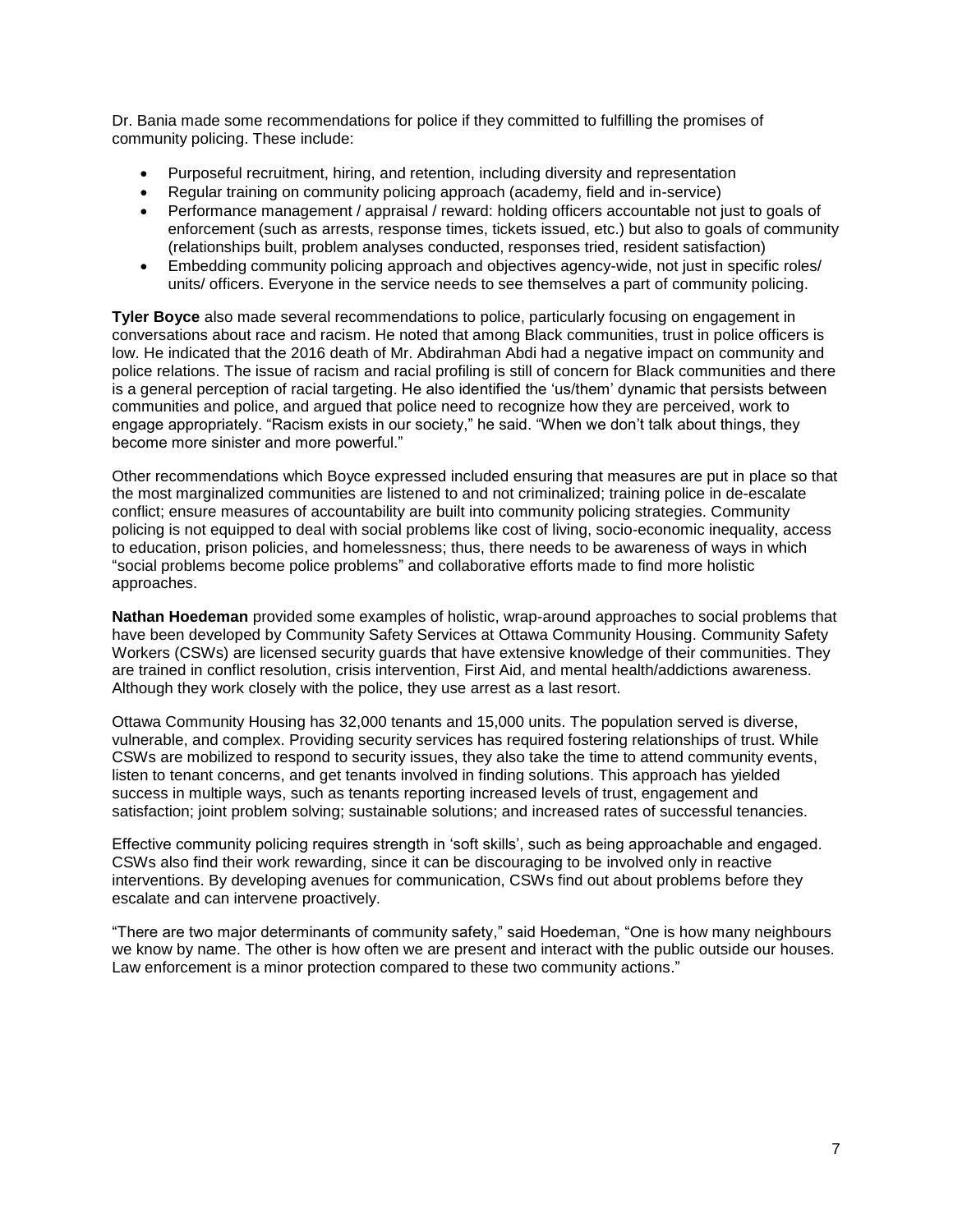Dr. Bania made some recommendations for police if they committed to fulfilling the promises of community policing. These include:

- Purposeful recruitment, hiring, and retention, including diversity and representation
- Regular training on community policing approach (academy, field and in-service)
- Performance management / appraisal / reward: holding officers accountable not just to goals of enforcement (such as arrests, response times, tickets issued, etc.) but also to goals of community (relationships built, problem analyses conducted, responses tried, resident satisfaction)
- Embedding community policing approach and objectives agency-wide, not just in specific roles/ units/ officers. Everyone in the service needs to see themselves a part of community policing.

**Tyler Boyce** also made several recommendations to police, particularly focusing on engagement in conversations about race and racism. He noted that among Black communities, trust in police officers is low. He indicated that the 2016 death of Mr. Abdirahman Abdi had a negative impact on community and police relations. The issue of racism and racial profiling is still of concern for Black communities and there is a general perception of racial targeting. He also identified the "us/them" dynamic that persists between communities and police, and argued that police need to recognize how they are perceived, work to engage appropriately. "Racism exists in our society," he said. "When we don"t talk about things, they become more sinister and more powerful."

Other recommendations which Boyce expressed included ensuring that measures are put in place so that the most marginalized communities are listened to and not criminalized; training police in de-escalate conflict; ensure measures of accountability are built into community policing strategies. Community policing is not equipped to deal with social problems like cost of living, socio-economic inequality, access to education, prison policies, and homelessness; thus, there needs to be awareness of ways in which "social problems become police problems" and collaborative efforts made to find more holistic approaches.

**Nathan Hoedeman** provided some examples of holistic, wrap-around approaches to social problems that have been developed by Community Safety Services at Ottawa Community Housing. Community Safety Workers (CSWs) are licensed security quards that have extensive knowledge of their communities. They are trained in conflict resolution, crisis intervention, First Aid, and mental health/addictions awareness. Although they work closely with the police, they use arrest as a last resort.

Ottawa Community Housing has 32,000 tenants and 15,000 units. The population served is diverse, vulnerable, and complex. Providing security services has required fostering relationships of trust. While CSWs are mobilized to respond to security issues, they also take the time to attend community events, listen to tenant concerns, and get tenants involved in finding solutions. This approach has yielded success in multiple ways, such as tenants reporting increased levels of trust, engagement and satisfaction; joint problem solving; sustainable solutions; and increased rates of successful tenancies.

Effective community policing requires strength in "soft skills", such as being approachable and engaged. CSWs also find their work rewarding, since it can be discouraging to be involved only in reactive interventions. By developing avenues for communication, CSWs find out about problems before they escalate and can intervene proactively.

"There are two major determinants of community safety," said Hoedeman, "One is how many neighbours we know by name. The other is how often we are present and interact with the public outside our houses. Law enforcement is a minor protection compared to these two community actions."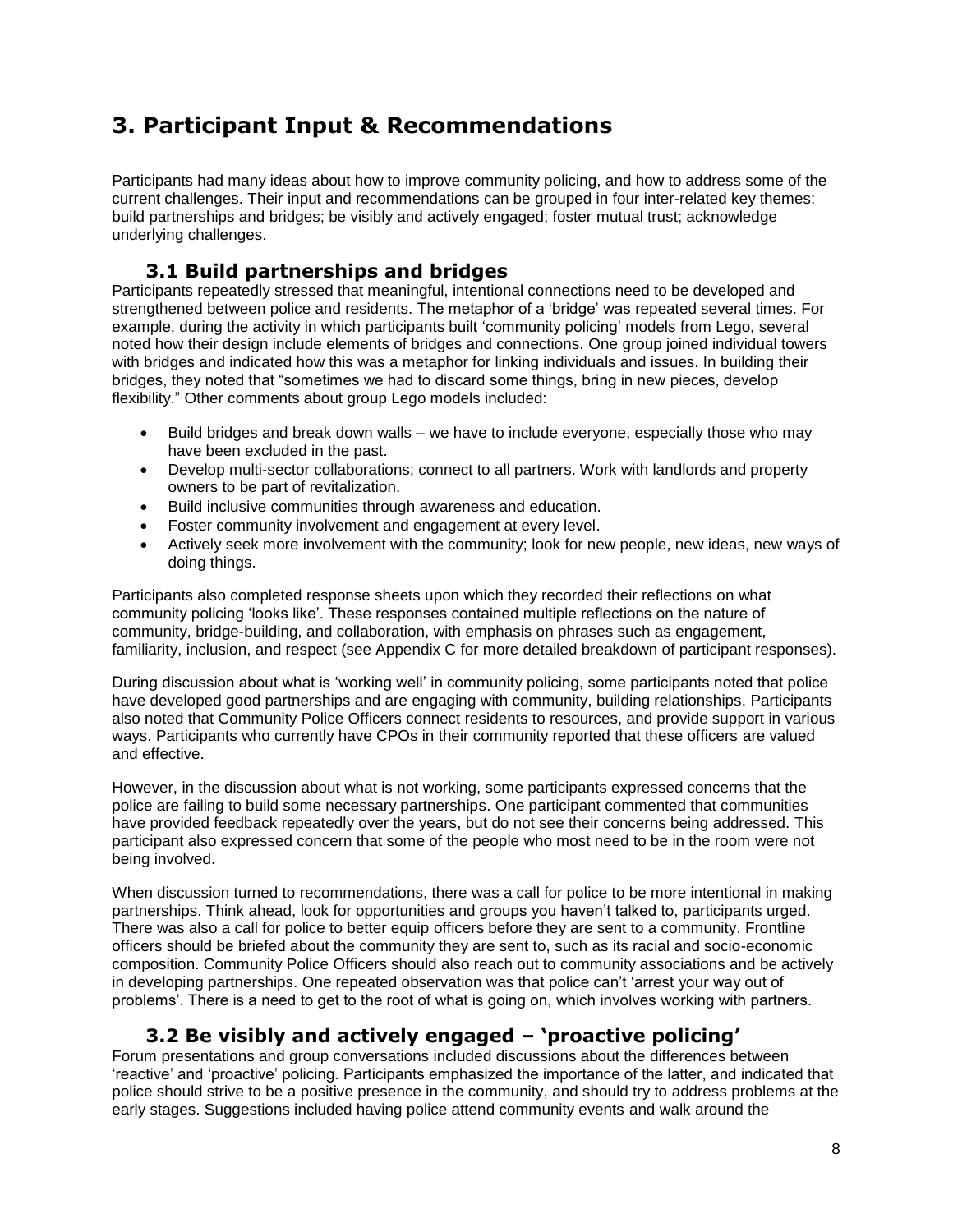# <span id="page-8-0"></span>**3. Participant Input & Recommendations**

Participants had many ideas about how to improve community policing, and how to address some of the current challenges. Their input and recommendations can be grouped in four inter-related key themes: build partnerships and bridges; be visibly and actively engaged; foster mutual trust; acknowledge underlying challenges.

### **3.1 Build partnerships and bridges**

<span id="page-8-1"></span>Participants repeatedly stressed that meaningful, intentional connections need to be developed and strengthened between police and residents. The metaphor of a "bridge" was repeated several times. For example, during the activity in which participants built "community policing" models from Lego, several noted how their design include elements of bridges and connections. One group joined individual towers with bridges and indicated how this was a metaphor for linking individuals and issues. In building their bridges, they noted that "sometimes we had to discard some things, bring in new pieces, develop flexibility." Other comments about group Lego models included:

- Build bridges and break down walls we have to include everyone, especially those who may have been excluded in the past.
- Develop multi-sector collaborations; connect to all partners. Work with landlords and property owners to be part of revitalization.
- Build inclusive communities through awareness and education.
- Foster community involvement and engagement at every level.
- Actively seek more involvement with the community; look for new people, new ideas, new ways of doing things.

Participants also completed response sheets upon which they recorded their reflections on what community policing "looks like". These responses contained multiple reflections on the nature of community, bridge-building, and collaboration, with emphasis on phrases such as engagement, familiarity, inclusion, and respect (see Appendix C for more detailed breakdown of participant responses).

During discussion about what is "working well" in community policing, some participants noted that police have developed good partnerships and are engaging with community, building relationships. Participants also noted that Community Police Officers connect residents to resources, and provide support in various ways. Participants who currently have CPOs in their community reported that these officers are valued and effective.

However, in the discussion about what is not working, some participants expressed concerns that the police are failing to build some necessary partnerships. One participant commented that communities have provided feedback repeatedly over the years, but do not see their concerns being addressed. This participant also expressed concern that some of the people who most need to be in the room were not being involved.

When discussion turned to recommendations, there was a call for police to be more intentional in making partnerships. Think ahead, look for opportunities and groups you haven"t talked to, participants urged. There was also a call for police to better equip officers before they are sent to a community. Frontline officers should be briefed about the community they are sent to, such as its racial and socio-economic composition. Community Police Officers should also reach out to community associations and be actively in developing partnerships. One repeated observation was that police can"t "arrest your way out of problems". There is a need to get to the root of what is going on, which involves working with partners.

### **3.2 Be visibly and actively engaged – 'proactive policing'**

<span id="page-8-2"></span>Forum presentations and group conversations included discussions about the differences between "reactive" and "proactive" policing. Participants emphasized the importance of the latter, and indicated that police should strive to be a positive presence in the community, and should try to address problems at the early stages. Suggestions included having police attend community events and walk around the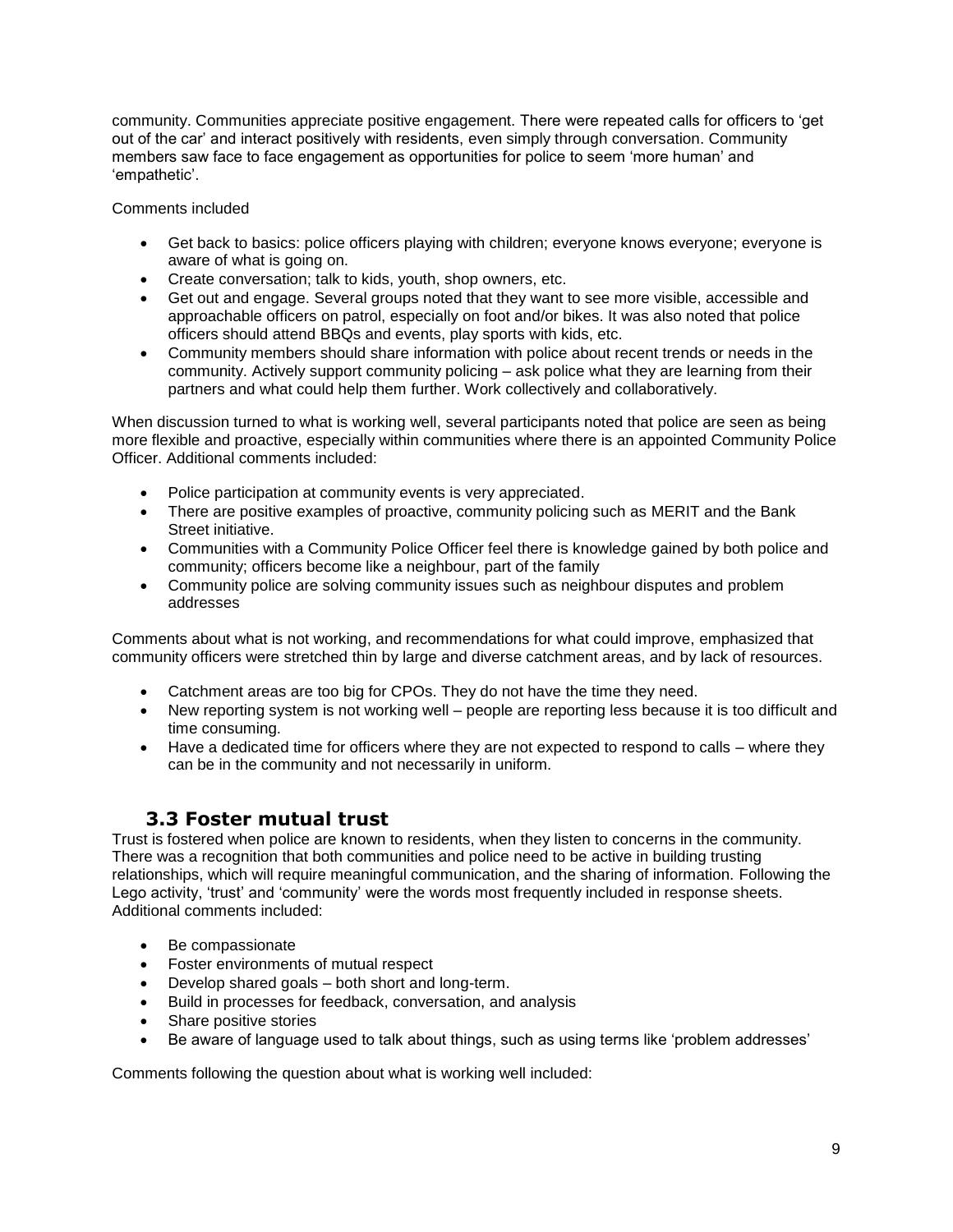community. Communities appreciate positive engagement. There were repeated calls for officers to "get out of the car" and interact positively with residents, even simply through conversation. Community members saw face to face engagement as opportunities for police to seem "more human" and 'empathetic'.

Comments included

- Get back to basics: police officers playing with children; everyone knows everyone; everyone is aware of what is going on.
- Create conversation; talk to kids, youth, shop owners, etc.
- Get out and engage. Several groups noted that they want to see more visible, accessible and approachable officers on patrol, especially on foot and/or bikes. It was also noted that police officers should attend BBQs and events, play sports with kids, etc.
- Community members should share information with police about recent trends or needs in the community. Actively support community policing – ask police what they are learning from their partners and what could help them further. Work collectively and collaboratively.

When discussion turned to what is working well, several participants noted that police are seen as being more flexible and proactive, especially within communities where there is an appointed Community Police Officer. Additional comments included:

- Police participation at community events is very appreciated.
- There are positive examples of proactive, community policing such as MERIT and the Bank Street initiative.
- Communities with a Community Police Officer feel there is knowledge gained by both police and community; officers become like a neighbour, part of the family
- Community police are solving community issues such as neighbour disputes and problem addresses

Comments about what is not working, and recommendations for what could improve, emphasized that community officers were stretched thin by large and diverse catchment areas, and by lack of resources.

- Catchment areas are too big for CPOs. They do not have the time they need.
- New reporting system is not working well people are reporting less because it is too difficult and time consuming.
- Have a dedicated time for officers where they are not expected to respond to calls where they can be in the community and not necessarily in uniform.

### **3.3 Foster mutual trust**

<span id="page-9-0"></span>Trust is fostered when police are known to residents, when they listen to concerns in the community. There was a recognition that both communities and police need to be active in building trusting relationships, which will require meaningful communication, and the sharing of information. Following the Lego activity, 'trust' and 'community' were the words most frequently included in response sheets. Additional comments included:

- Be compassionate
- Foster environments of mutual respect
- Develop shared goals both short and long-term.
- Build in processes for feedback, conversation, and analysis
- Share positive stories
- Be aware of language used to talk about things, such as using terms like "problem addresses"

Comments following the question about what is working well included: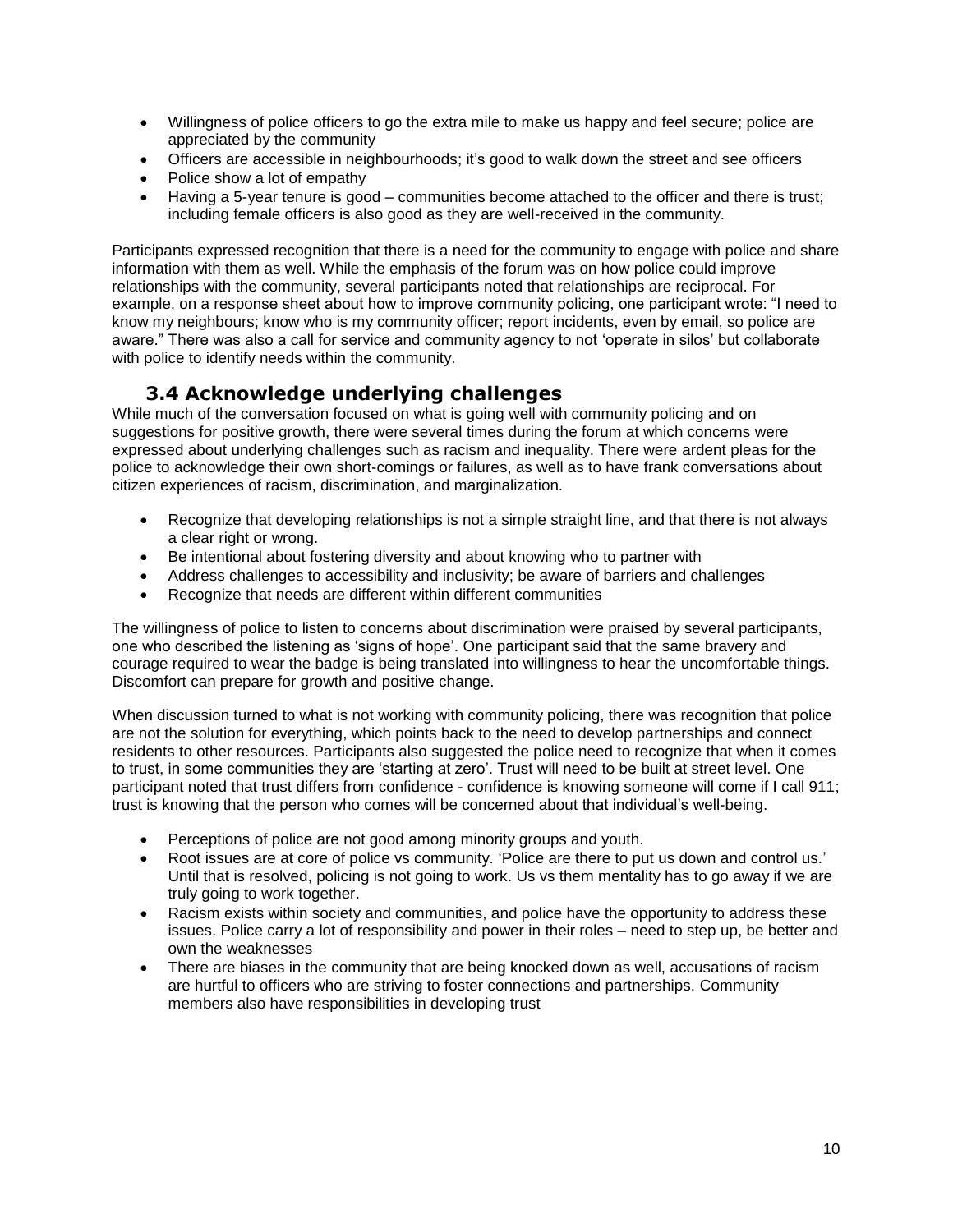- Willingness of police officers to go the extra mile to make us happy and feel secure; police are appreciated by the community
- Officers are accessible in neighbourhoods; it's good to walk down the street and see officers
- Police show a lot of empathy
- Having a 5-year tenure is good communities become attached to the officer and there is trust; including female officers is also good as they are well-received in the community.

Participants expressed recognition that there is a need for the community to engage with police and share information with them as well. While the emphasis of the forum was on how police could improve relationships with the community, several participants noted that relationships are reciprocal. For example, on a response sheet about how to improve community policing, one participant wrote: "I need to know my neighbours; know who is my community officer; report incidents, even by email, so police are aware." There was also a call for service and community agency to not "operate in silos" but collaborate with police to identify needs within the community.

### **3.4 Acknowledge underlying challenges**

<span id="page-10-0"></span>While much of the conversation focused on what is going well with community policing and on suggestions for positive growth, there were several times during the forum at which concerns were expressed about underlying challenges such as racism and inequality. There were ardent pleas for the police to acknowledge their own short-comings or failures, as well as to have frank conversations about citizen experiences of racism, discrimination, and marginalization.

- Recognize that developing relationships is not a simple straight line, and that there is not always a clear right or wrong.
- Be intentional about fostering diversity and about knowing who to partner with
- Address challenges to accessibility and inclusivity; be aware of barriers and challenges
- Recognize that needs are different within different communities

The willingness of police to listen to concerns about discrimination were praised by several participants, one who described the listening as "signs of hope". One participant said that the same bravery and courage required to wear the badge is being translated into willingness to hear the uncomfortable things. Discomfort can prepare for growth and positive change.

When discussion turned to what is not working with community policing, there was recognition that police are not the solution for everything, which points back to the need to develop partnerships and connect residents to other resources. Participants also suggested the police need to recognize that when it comes to trust, in some communities they are "starting at zero". Trust will need to be built at street level. One participant noted that trust differs from confidence - confidence is knowing someone will come if I call 911; trust is knowing that the person who comes will be concerned about that individual"s well-being.

- Perceptions of police are not good among minority groups and youth.
- Root issues are at core of police vs community. "Police are there to put us down and control us." Until that is resolved, policing is not going to work. Us vs them mentality has to go away if we are truly going to work together.
- Racism exists within society and communities, and police have the opportunity to address these issues. Police carry a lot of responsibility and power in their roles – need to step up, be better and own the weaknesses
- There are biases in the community that are being knocked down as well, accusations of racism are hurtful to officers who are striving to foster connections and partnerships. Community members also have responsibilities in developing trust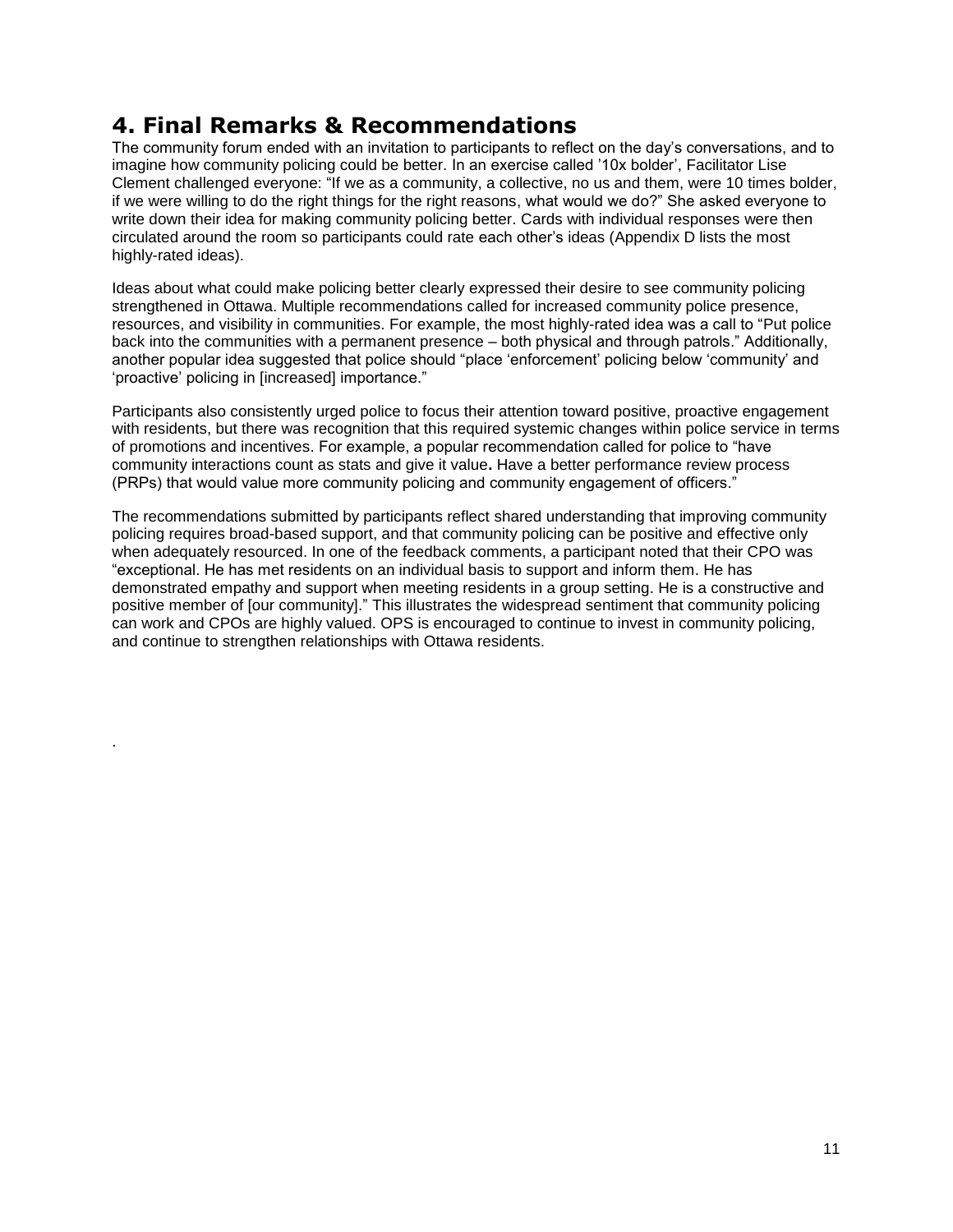## <span id="page-11-0"></span>**4. Final Remarks & Recommendations**

.

The community forum ended with an invitation to participants to reflect on the day's conversations, and to imagine how community policing could be better. In an exercise called "10x bolder", Facilitator Lise Clement challenged everyone: "If we as a community, a collective, no us and them, were 10 times bolder, if we were willing to do the right things for the right reasons, what would we do?" She asked everyone to write down their idea for making community policing better. Cards with individual responses were then circulated around the room so participants could rate each other"s ideas (Appendix D lists the most highly-rated ideas).

Ideas about what could make policing better clearly expressed their desire to see community policing strengthened in Ottawa. Multiple recommendations called for increased community police presence, resources, and visibility in communities. For example, the most highly-rated idea was a call to "Put police back into the communities with a permanent presence – both physical and through patrols." Additionally, another popular idea suggested that police should "place "enforcement" policing below "community" and "proactive" policing in [increased] importance."

Participants also consistently urged police to focus their attention toward positive, proactive engagement with residents, but there was recognition that this required systemic changes within police service in terms of promotions and incentives. For example, a popular recommendation called for police to "have community interactions count as stats and give it value**.** Have a better performance review process (PRPs) that would value more community policing and community engagement of officers."

The recommendations submitted by participants reflect shared understanding that improving community policing requires broad-based support, and that community policing can be positive and effective only when adequately resourced. In one of the feedback comments, a participant noted that their CPO was "exceptional. He has met residents on an individual basis to support and inform them. He has demonstrated empathy and support when meeting residents in a group setting. He is a constructive and positive member of [our community]." This illustrates the widespread sentiment that community policing can work and CPOs are highly valued. OPS is encouraged to continue to invest in community policing, and continue to strengthen relationships with Ottawa residents.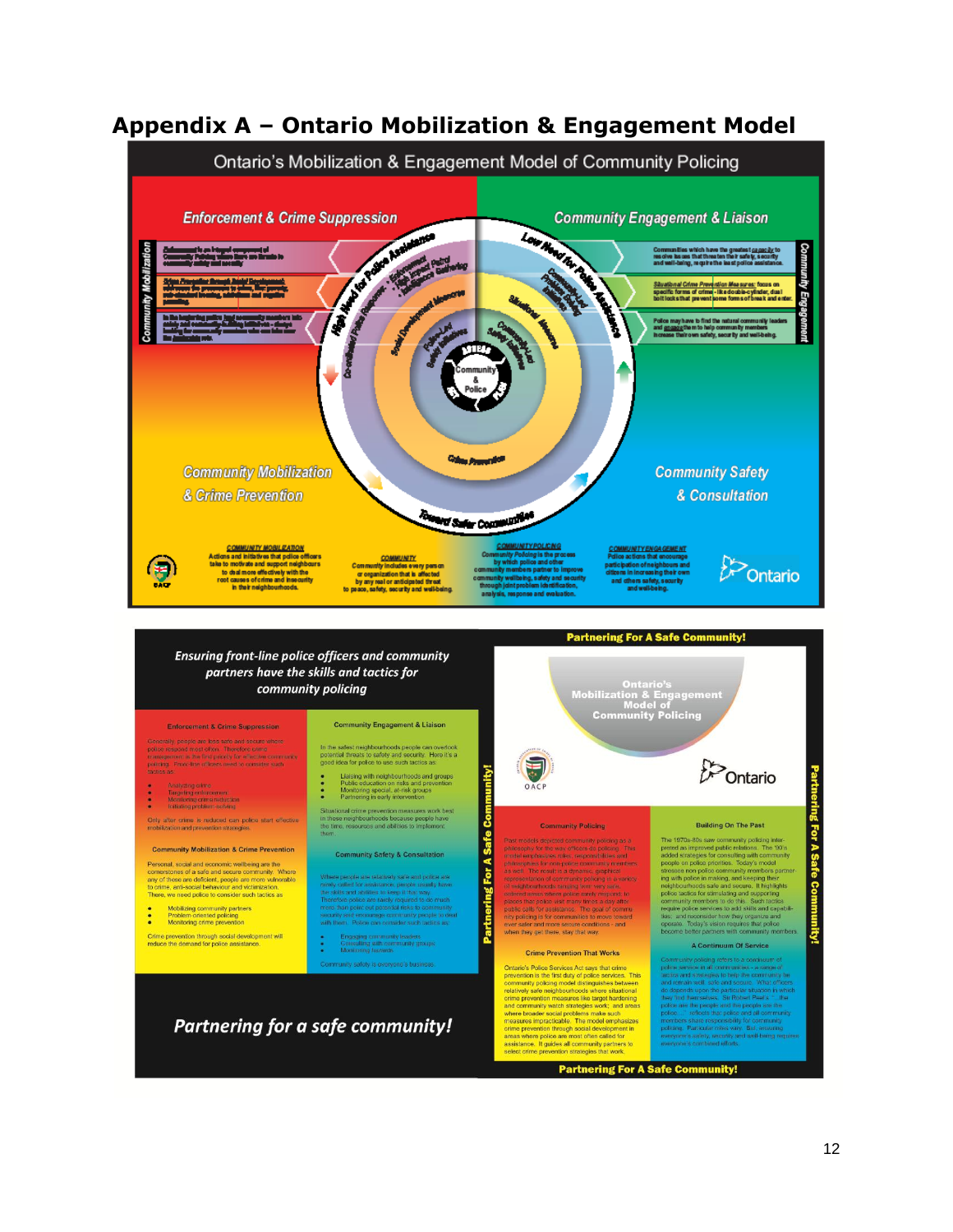

### <span id="page-12-0"></span>**Appendix A – Ontario Mobilization & Engagement Model**

**Partnering For A Safe Community!**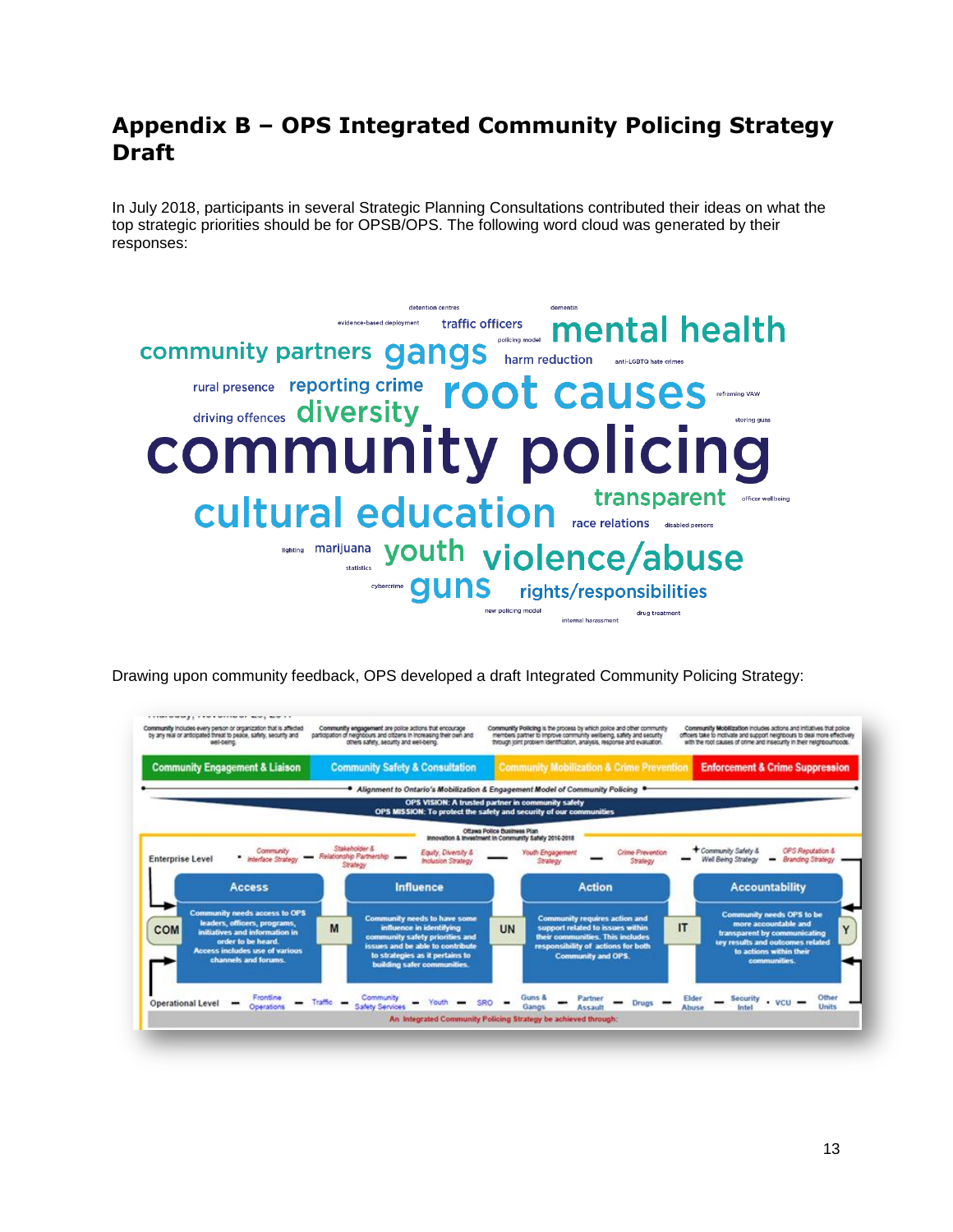### <span id="page-13-0"></span>**Appendix B – OPS Integrated Community Policing Strategy Draft**

In July 2018, participants in several Strategic Planning Consultations contributed their ideas on what the top strategic priorities should be for OPSB/OPS. The following word cloud was generated by their responses:



Drawing upon community feedback, OPS developed a draft Integrated Community Policing Strategy:

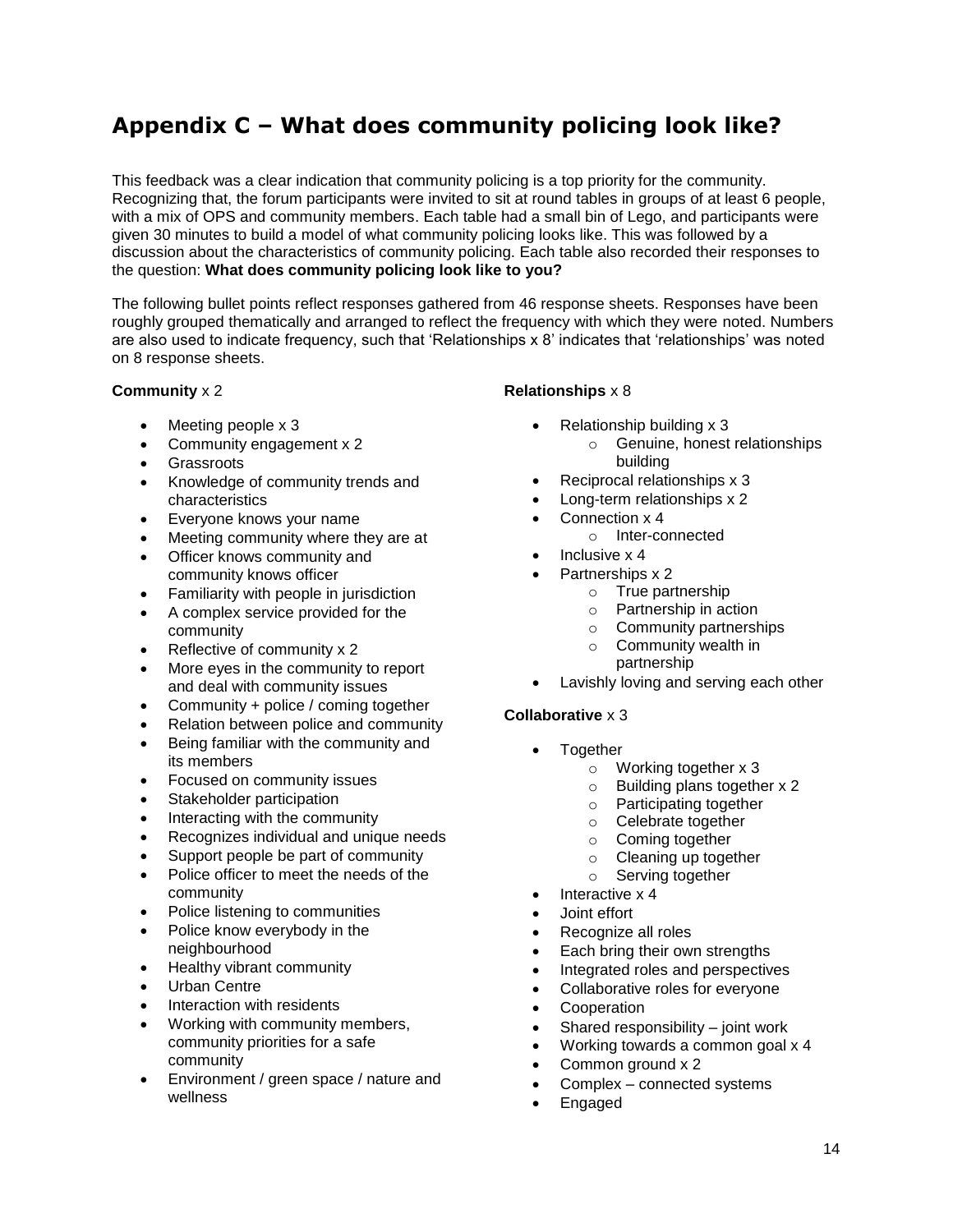# <span id="page-14-0"></span>**Appendix C – What does community policing look like?**

This feedback was a clear indication that community policing is a top priority for the community. Recognizing that, the forum participants were invited to sit at round tables in groups of at least 6 people, with a mix of OPS and community members. Each table had a small bin of Lego, and participants were given 30 minutes to build a model of what community policing looks like. This was followed by a discussion about the characteristics of community policing. Each table also recorded their responses to the question: **What does community policing look like to you?**

The following bullet points reflect responses gathered from 46 response sheets. Responses have been roughly grouped thematically and arranged to reflect the frequency with which they were noted. Numbers are also used to indicate frequency, such that "Relationships x 8" indicates that "relationships" was noted on 8 response sheets.

#### **Community** x 2

- Meeting people x 3
- Community engagement x 2
- **Grassroots**
- Knowledge of community trends and characteristics
- Everyone knows your name
- Meeting community where they are at
- Officer knows community and community knows officer
- Familiarity with people in jurisdiction
- A complex service provided for the community
- Reflective of community x 2
- More eyes in the community to report and deal with community issues
- Community + police / coming together
- Relation between police and community
- Being familiar with the community and its members
- Focused on community issues
- Stakeholder participation
- Interacting with the community
- Recognizes individual and unique needs
- Support people be part of community
- Police officer to meet the needs of the community
- Police listening to communities
- Police know everybody in the neighbourhood
- Healthy vibrant community
- Urban Centre
- Interaction with residents
- Working with community members, community priorities for a safe community
- Environment / green space / nature and wellness

#### **Relationships** x 8

- Relationship building x 3
	- o Genuine, honest relationships building
- Reciprocal relationships x 3
- Long-term relationships x 2
- Connection x 4
- o Inter-connected
- Inclusive x 4
- Partnerships x 2
	- o True partnership
	- o Partnership in action
	- o Community partnerships
	- o Community wealth in partnership
- Lavishly loving and serving each other

#### **Collaborative** x 3

- Together
	- o Working together x 3
	- o Building plans together x 2
	- o Participating together
	- o Celebrate together
	- o Coming together
	- o Cleaning up together
	- o Serving together
	- Interactive x 4
- Joint effort
- Recognize all roles
- Each bring their own strengths
- Integrated roles and perspectives
- Collaborative roles for everyone
- Cooperation
- Shared responsibility joint work
- Working towards a common goal x 4
- Common ground x 2
- Complex connected systems
- Engaged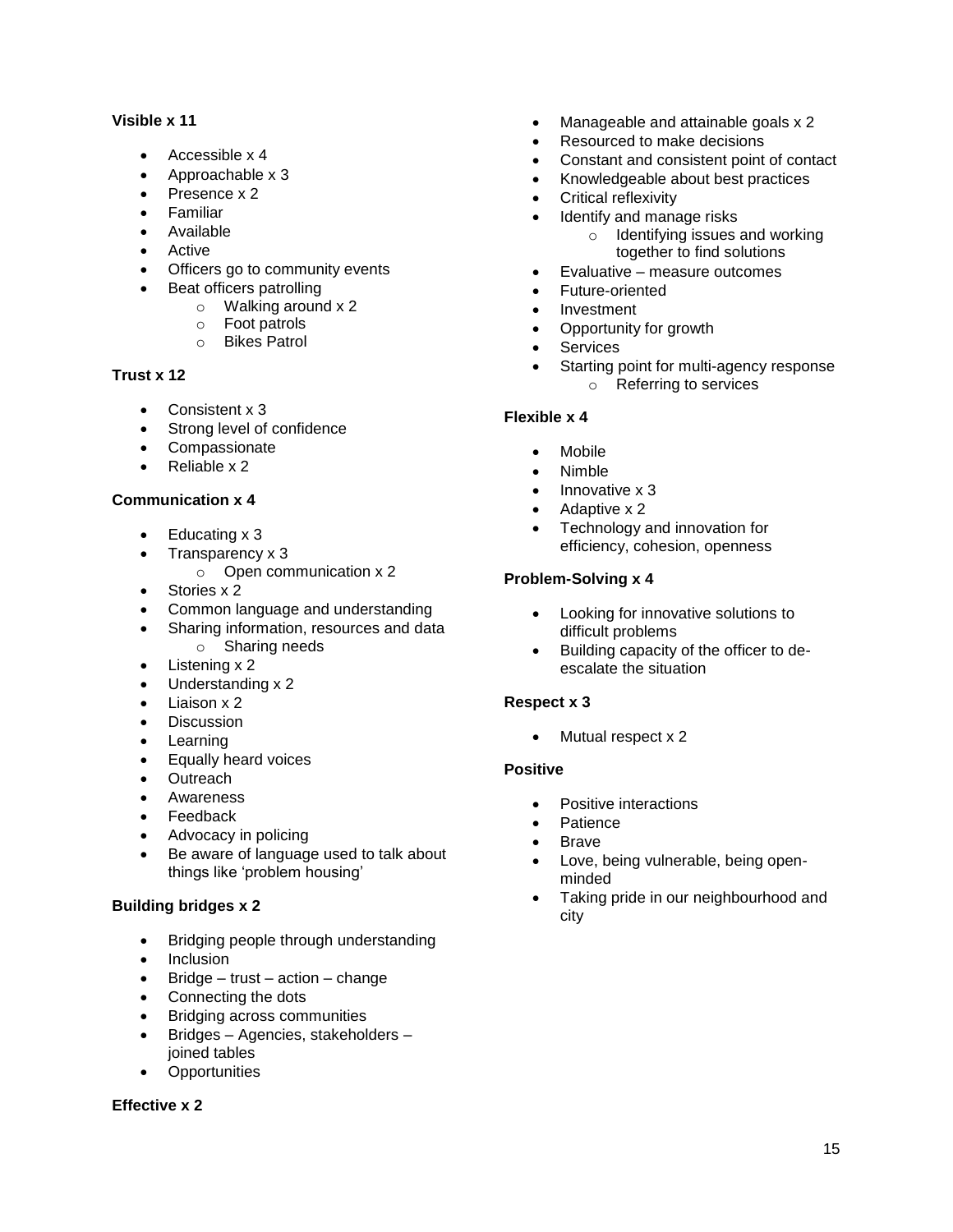#### **Visible x 11**

- Accessible x 4
- Approachable x 3
- Presence x 2
- Familiar
- Available
- Active
- Officers go to community events
- Beat officers patrolling
	- o Walking around x 2
	- o Foot patrols
	- o Bikes Patrol

#### **Trust x 12**

- Consistent x 3
- Strong level of confidence
- Compassionate
- Reliable x 2

#### **Communication x 4**

- $\bullet$  Educating x 3
- $\bullet$  Transparency  $\times$  3
	- $\circ$  Open communication x 2
- Stories x 2
- Common language and understanding
- Sharing information, resources and data o Sharing needs
- Listening x 2
- Understanding x 2
- Liaison x 2
- Discussion
- Learning
- **Equally heard voices**
- Outreach
- Awareness
- Feedback
- Advocacy in policing
- Be aware of language used to talk about things like "problem housing"

#### **Building bridges x 2**

- Bridging people through understanding
- Inclusion
- $\bullet$  Bridge trust action change
- Connecting the dots
- Bridging across communities
- Bridges Agencies, stakeholders joined tables
- Opportunities

#### **Effective x 2**

- Manageable and attainable goals x 2
- Resourced to make decisions
- Constant and consistent point of contact
- Knowledgeable about best practices
- Critical reflexivity
- Identify and manage risks
	- o Identifying issues and working together to find solutions
- Evaluative measure outcomes
- Future-oriented
- Investment
- Opportunity for growth
- **•** Services
- Starting point for multi-agency response
	- o Referring to services

#### **Flexible x 4**

- Mobile
- Nimble
- $\bullet$  Innovative x 3
- Adaptive x 2
- Technology and innovation for efficiency, cohesion, openness

#### **Problem-Solving x 4**

- Looking for innovative solutions to difficult problems
- Building capacity of the officer to deescalate the situation

#### **Respect x 3**

• Mutual respect x 2

#### **Positive**

- Positive interactions
- **Patience**
- Brave
- Love, being vulnerable, being openminded
- Taking pride in our neighbourhood and city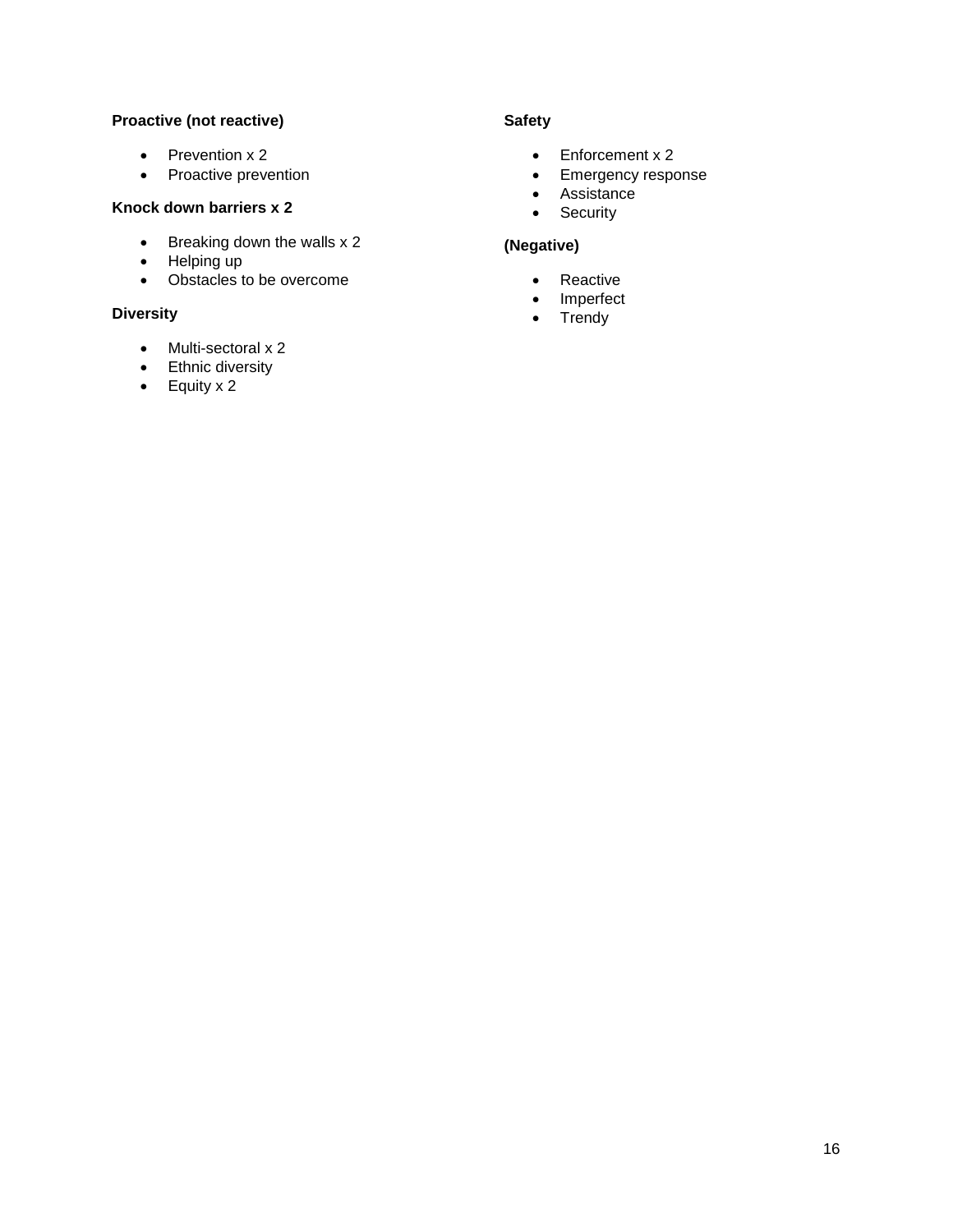#### **Proactive (not reactive)**

- $\bullet$  Prevention x 2
- Proactive prevention

#### **Knock down barriers x 2**

- $\bullet$  Breaking down the walls x 2
- Helping up
- Obstacles to be overcome

#### **Diversity**

- Multi-sectoral x 2
- Ethnic diversity
- $\bullet$  Equity x 2

#### **Safety**

- Enforcement x 2
- Emergency response
- Assistance
- Security

### **(Negative)**

- Reactive
- Imperfect
- $\bullet$  Trendy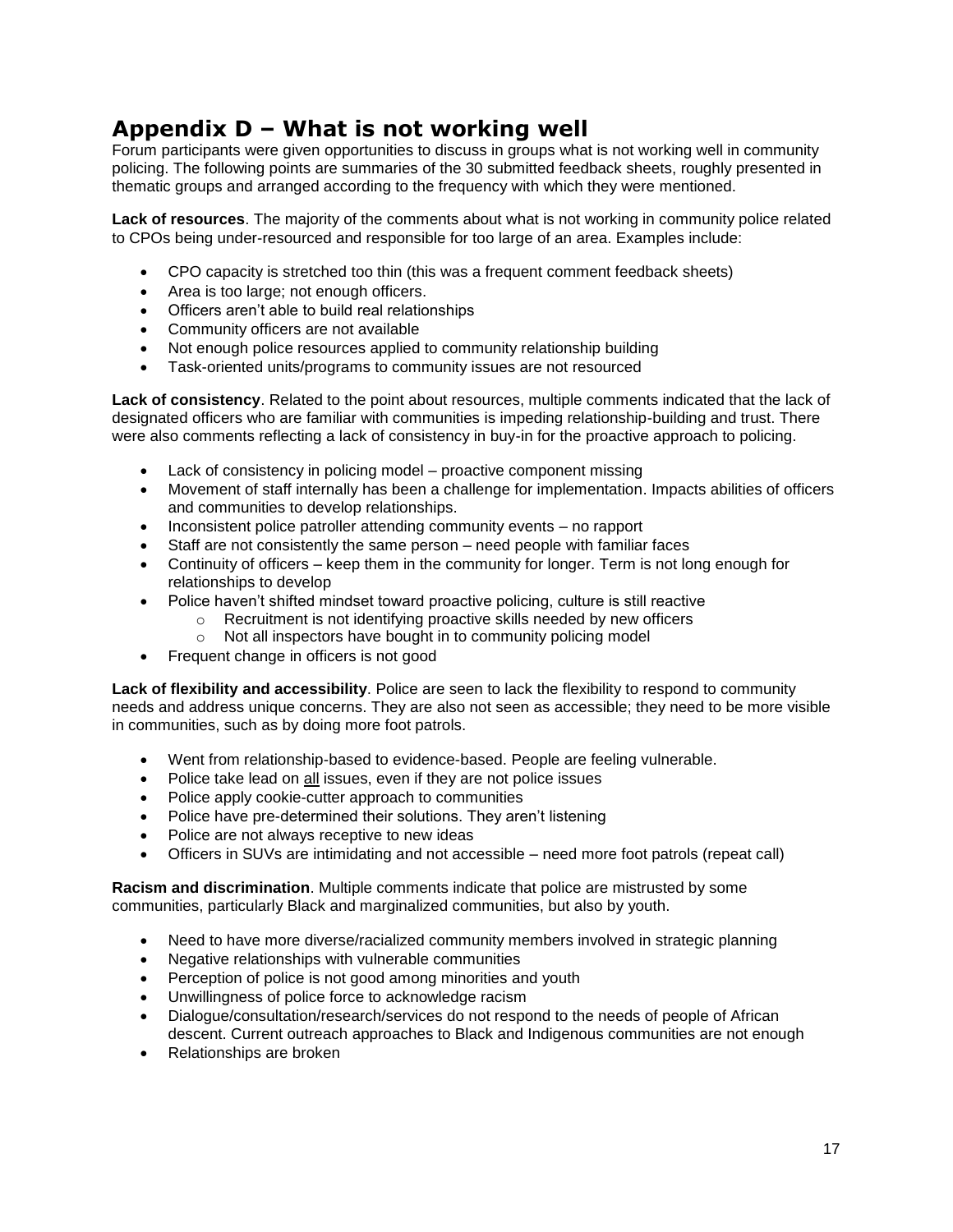# <span id="page-17-0"></span>**Appendix D – What is not working well**

Forum participants were given opportunities to discuss in groups what is not working well in community policing. The following points are summaries of the 30 submitted feedback sheets, roughly presented in thematic groups and arranged according to the frequency with which they were mentioned.

**Lack of resources**. The majority of the comments about what is not working in community police related to CPOs being under-resourced and responsible for too large of an area. Examples include:

- CPO capacity is stretched too thin (this was a frequent comment feedback sheets)
- Area is too large; not enough officers.
- Officers aren"t able to build real relationships
- Community officers are not available
- Not enough police resources applied to community relationship building
- Task-oriented units/programs to community issues are not resourced

**Lack of consistency**. Related to the point about resources, multiple comments indicated that the lack of designated officers who are familiar with communities is impeding relationship-building and trust. There were also comments reflecting a lack of consistency in buy-in for the proactive approach to policing.

- Lack of consistency in policing model proactive component missing
- Movement of staff internally has been a challenge for implementation. Impacts abilities of officers and communities to develop relationships.
- Inconsistent police patroller attending community events no rapport
- Staff are not consistently the same person need people with familiar faces
- Continuity of officers keep them in the community for longer. Term is not long enough for relationships to develop
- Police haven't shifted mindset toward proactive policing, culture is still reactive
	- o Recruitment is not identifying proactive skills needed by new officers
	- o Not all inspectors have bought in to community policing model
- Frequent change in officers is not good

**Lack of flexibility and accessibility**. Police are seen to lack the flexibility to respond to community needs and address unique concerns. They are also not seen as accessible; they need to be more visible in communities, such as by doing more foot patrols.

- Went from relationship-based to evidence-based. People are feeling vulnerable.
- Police take lead on all issues, even if they are not police issues
- Police apply cookie-cutter approach to communities
- Police have pre-determined their solutions. They aren't listening
- Police are not always receptive to new ideas
- Officers in SUVs are intimidating and not accessible need more foot patrols (repeat call)

**Racism and discrimination**. Multiple comments indicate that police are mistrusted by some communities, particularly Black and marginalized communities, but also by youth.

- Need to have more diverse/racialized community members involved in strategic planning
- Negative relationships with vulnerable communities
- Perception of police is not good among minorities and youth
- Unwillingness of police force to acknowledge racism
- Dialogue/consultation/research/services do not respond to the needs of people of African descent. Current outreach approaches to Black and Indigenous communities are not enough
- Relationships are broken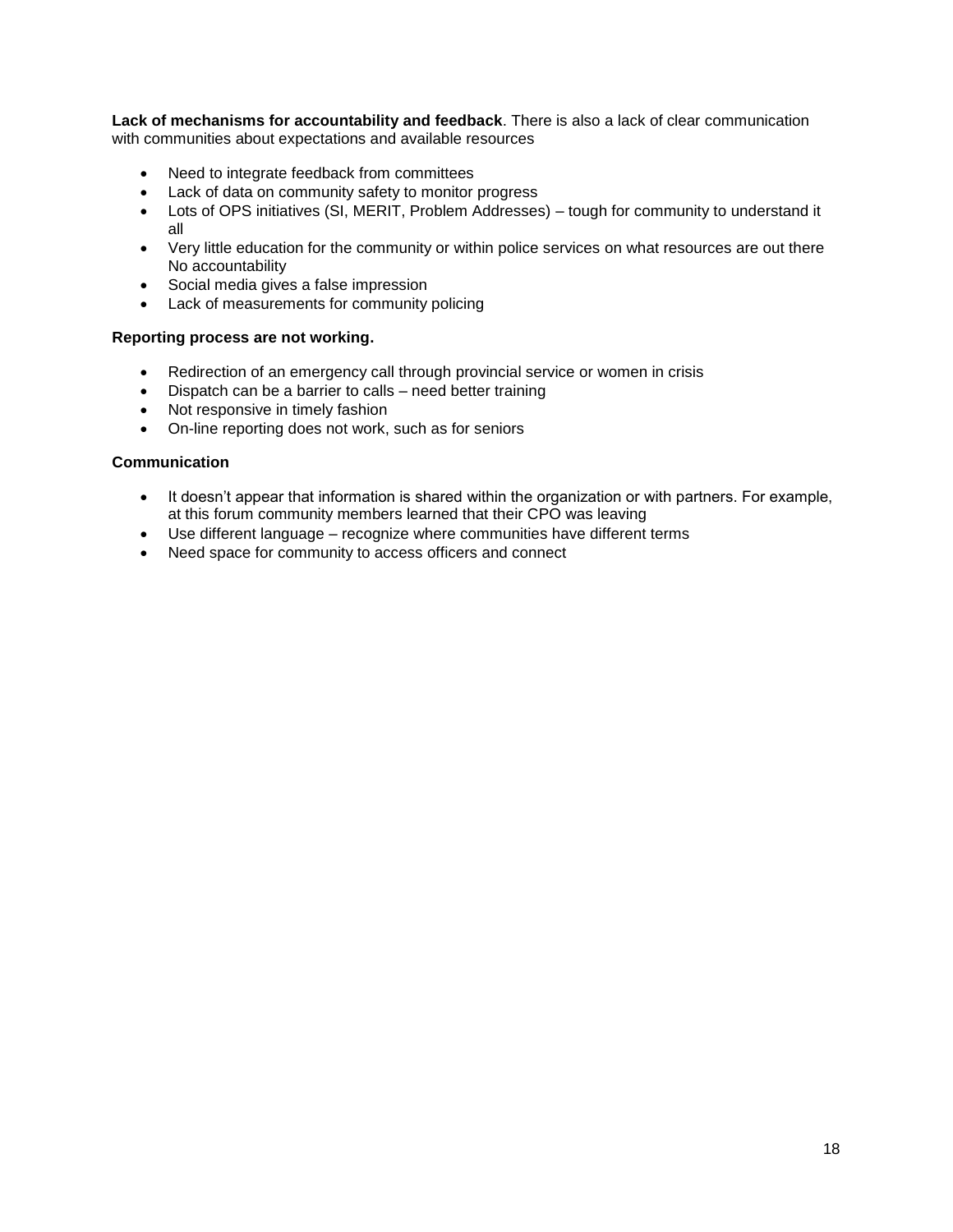**Lack of mechanisms for accountability and feedback**. There is also a lack of clear communication with communities about expectations and available resources

- Need to integrate feedback from committees
- Lack of data on community safety to monitor progress
- Lots of OPS initiatives (SI, MERIT, Problem Addresses) tough for community to understand it all
- Very little education for the community or within police services on what resources are out there No accountability
- Social media gives a false impression
- Lack of measurements for community policing

#### **Reporting process are not working.**

- Redirection of an emergency call through provincial service or women in crisis
- Dispatch can be a barrier to calls need better training
- Not responsive in timely fashion
- On-line reporting does not work, such as for seniors

#### **Communication**

- It doesn't appear that information is shared within the organization or with partners. For example, at this forum community members learned that their CPO was leaving
- Use different language recognize where communities have different terms
- Need space for community to access officers and connect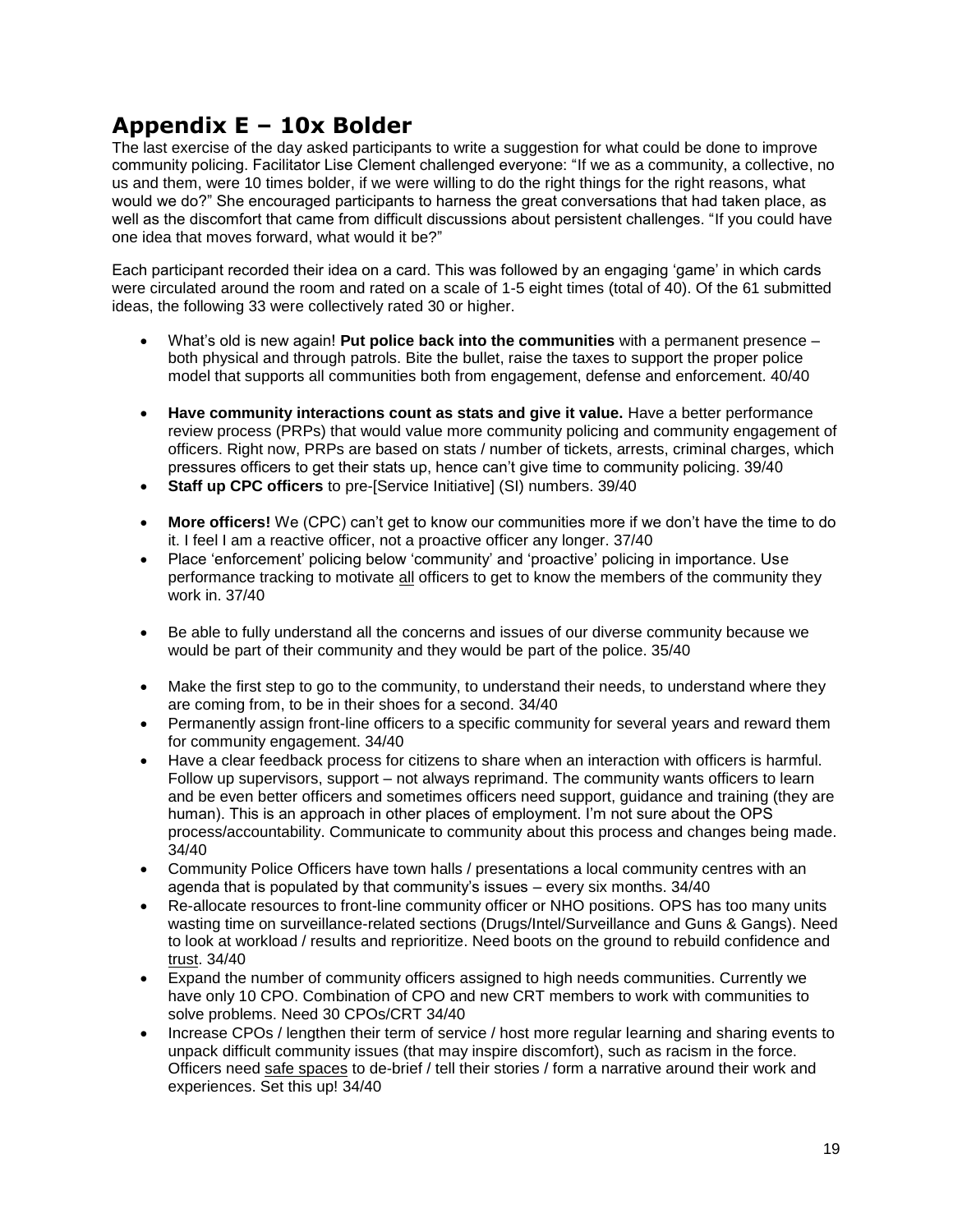# <span id="page-19-0"></span>**Appendix E – 10x Bolder**

The last exercise of the day asked participants to write a suggestion for what could be done to improve community policing. Facilitator Lise Clement challenged everyone: "If we as a community, a collective, no us and them, were 10 times bolder, if we were willing to do the right things for the right reasons, what would we do?" She encouraged participants to harness the great conversations that had taken place, as well as the discomfort that came from difficult discussions about persistent challenges. "If you could have one idea that moves forward, what would it be?"

Each participant recorded their idea on a card. This was followed by an engaging "game" in which cards were circulated around the room and rated on a scale of 1-5 eight times (total of 40). Of the 61 submitted ideas, the following 33 were collectively rated 30 or higher.

- What's old is new again! **Put police back into the communities** with a permanent presence both physical and through patrols. Bite the bullet, raise the taxes to support the proper police model that supports all communities both from engagement, defense and enforcement. 40/40
- **Have community interactions count as stats and give it value.** Have a better performance review process (PRPs) that would value more community policing and community engagement of officers. Right now, PRPs are based on stats / number of tickets, arrests, criminal charges, which pressures officers to get their stats up, hence can"t give time to community policing. 39/40
- **Staff up CPC officers** to pre-[Service Initiative] (SI) numbers. 39/40
- **More officers!** We (CPC) can"t get to know our communities more if we don"t have the time to do it. I feel I am a reactive officer, not a proactive officer any longer. 37/40
- Place "enforcement" policing below "community" and "proactive" policing in importance. Use performance tracking to motivate all officers to get to know the members of the community they work in. 37/40
- Be able to fully understand all the concerns and issues of our diverse community because we would be part of their community and they would be part of the police. 35/40
- Make the first step to go to the community, to understand their needs, to understand where they are coming from, to be in their shoes for a second. 34/40
- Permanently assign front-line officers to a specific community for several years and reward them for community engagement. 34/40
- Have a clear feedback process for citizens to share when an interaction with officers is harmful. Follow up supervisors, support – not always reprimand. The community wants officers to learn and be even better officers and sometimes officers need support, guidance and training (they are human). This is an approach in other places of employment. I'm not sure about the OPS process/accountability. Communicate to community about this process and changes being made. 34/40
- Community Police Officers have town halls / presentations a local community centres with an agenda that is populated by that community's issues  $-$  every six months. 34/40
- Re-allocate resources to front-line community officer or NHO positions. OPS has too many units wasting time on surveillance-related sections (Drugs/Intel/Surveillance and Guns & Gangs). Need to look at workload / results and reprioritize. Need boots on the ground to rebuild confidence and trust. 34/40
- Expand the number of community officers assigned to high needs communities. Currently we have only 10 CPO. Combination of CPO and new CRT members to work with communities to solve problems. Need 30 CPOs/CRT 34/40
- Increase CPOs / lengthen their term of service / host more regular learning and sharing events to unpack difficult community issues (that may inspire discomfort), such as racism in the force. Officers need safe spaces to de-brief / tell their stories / form a narrative around their work and experiences. Set this up! 34/40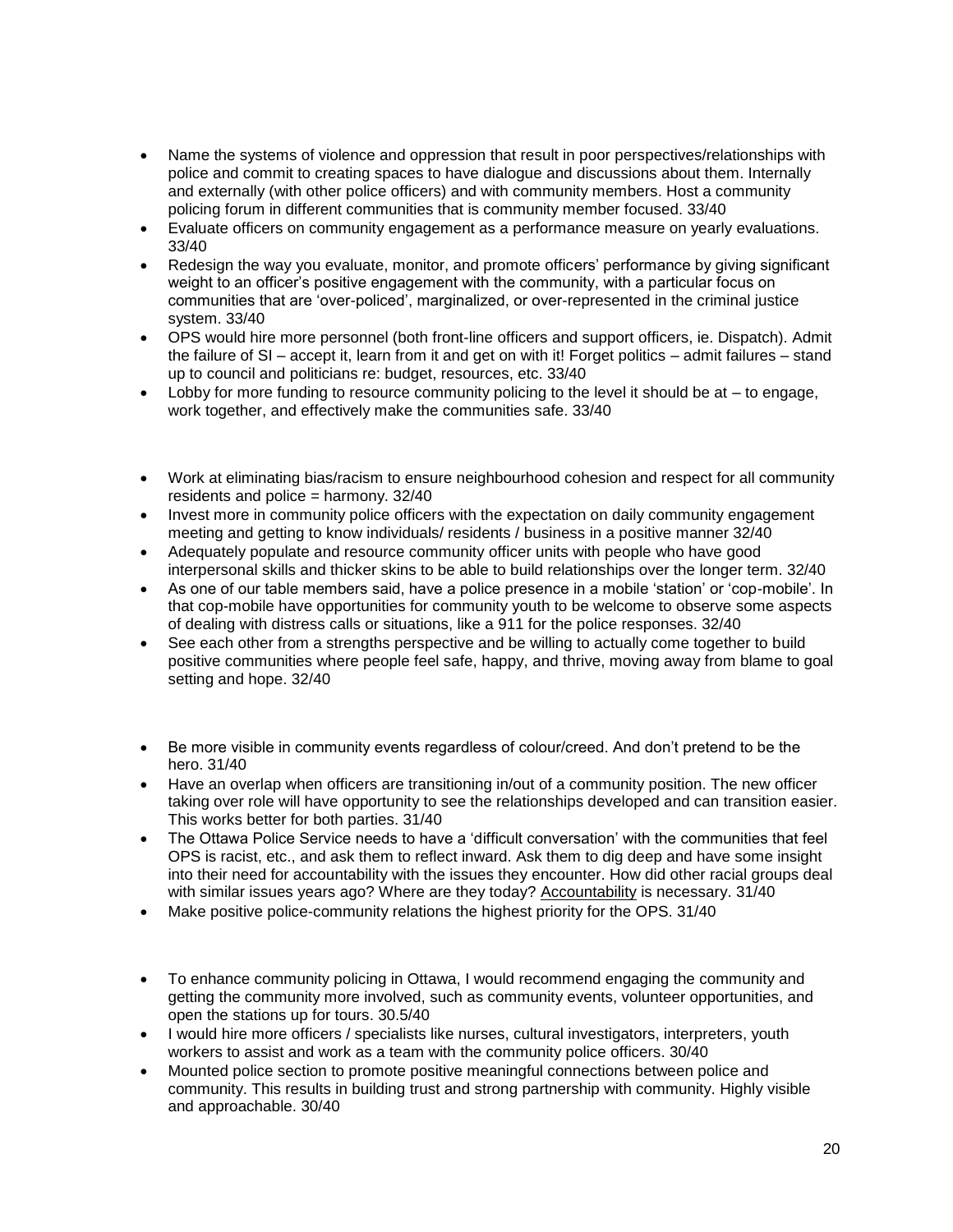- Name the systems of violence and oppression that result in poor perspectives/relationships with police and commit to creating spaces to have dialogue and discussions about them. Internally and externally (with other police officers) and with community members. Host a community policing forum in different communities that is community member focused. 33/40
- Evaluate officers on community engagement as a performance measure on yearly evaluations. 33/40
- Redesign the way you evaluate, monitor, and promote officers' performance by giving significant weight to an officer"s positive engagement with the community, with a particular focus on communities that are "over-policed", marginalized, or over-represented in the criminal justice system. 33/40
- OPS would hire more personnel (both front-line officers and support officers, ie. Dispatch). Admit the failure of SI – accept it, learn from it and get on with it! Forget politics – admit failures – stand up to council and politicians re: budget, resources, etc. 33/40
- Lobby for more funding to resource community policing to the level it should be at  $-$  to engage, work together, and effectively make the communities safe. 33/40
- Work at eliminating bias/racism to ensure neighbourhood cohesion and respect for all community residents and police = harmony. 32/40
- Invest more in community police officers with the expectation on daily community engagement meeting and getting to know individuals/ residents / business in a positive manner 32/40
- Adequately populate and resource community officer units with people who have good interpersonal skills and thicker skins to be able to build relationships over the longer term. 32/40
- As one of our table members said, have a police presence in a mobile "station" or "cop-mobile". In that cop-mobile have opportunities for community youth to be welcome to observe some aspects of dealing with distress calls or situations, like a 911 for the police responses. 32/40
- See each other from a strengths perspective and be willing to actually come together to build positive communities where people feel safe, happy, and thrive, moving away from blame to goal setting and hope. 32/40
- Be more visible in community events regardless of colour/creed. And don"t pretend to be the hero. 31/40
- Have an overlap when officers are transitioning in/out of a community position. The new officer taking over role will have opportunity to see the relationships developed and can transition easier. This works better for both parties. 31/40
- The Ottawa Police Service needs to have a 'difficult conversation' with the communities that feel OPS is racist, etc., and ask them to reflect inward. Ask them to dig deep and have some insight into their need for accountability with the issues they encounter. How did other racial groups deal with similar issues years ago? Where are they today? Accountability is necessary. 31/40
- Make positive police-community relations the highest priority for the OPS. 31/40
- To enhance community policing in Ottawa, I would recommend engaging the community and getting the community more involved, such as community events, volunteer opportunities, and open the stations up for tours. 30.5/40
- I would hire more officers / specialists like nurses, cultural investigators, interpreters, youth workers to assist and work as a team with the community police officers. 30/40
- Mounted police section to promote positive meaningful connections between police and community. This results in building trust and strong partnership with community. Highly visible and approachable. 30/40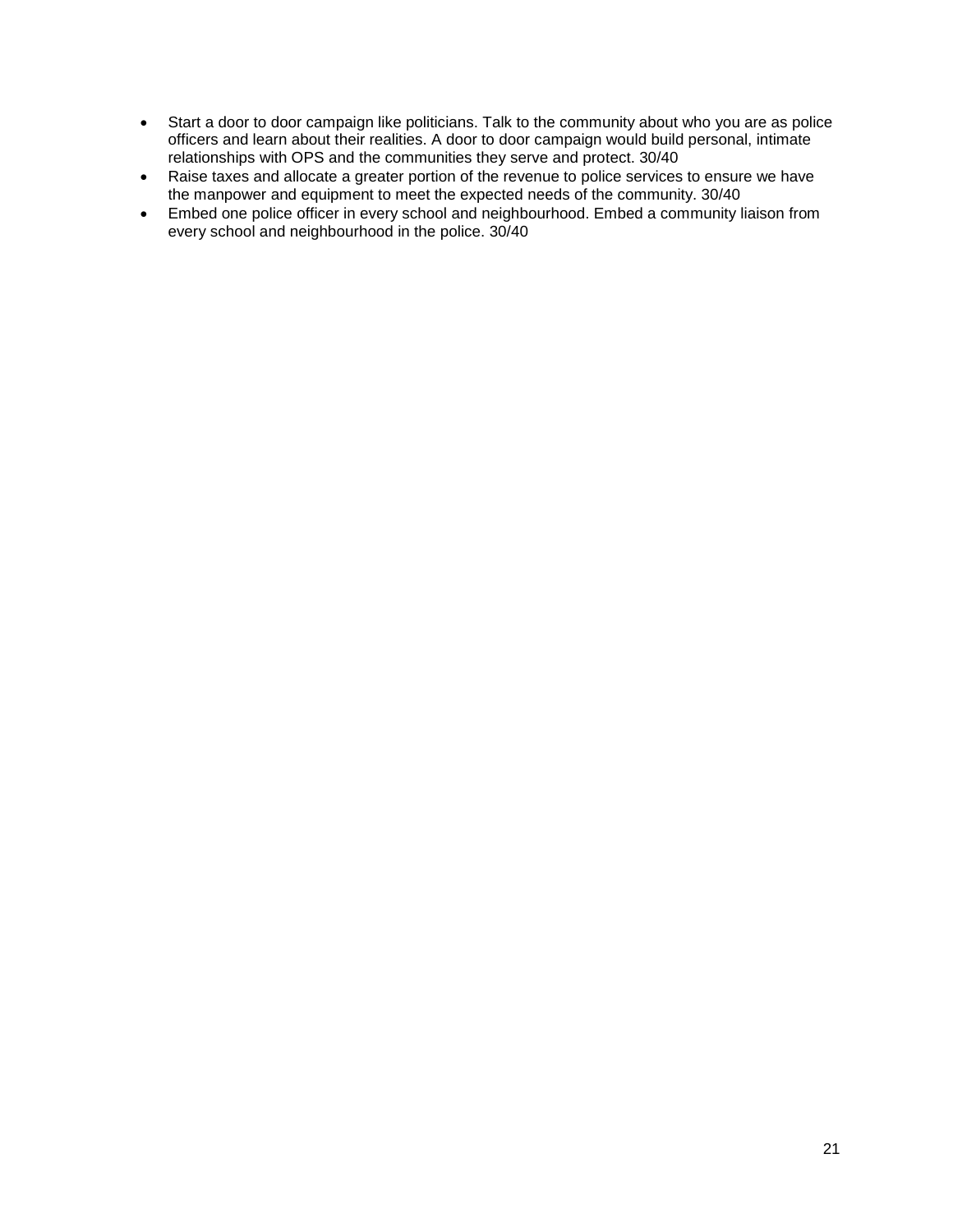- Start a door to door campaign like politicians. Talk to the community about who you are as police officers and learn about their realities. A door to door campaign would build personal, intimate relationships with OPS and the communities they serve and protect. 30/40
- Raise taxes and allocate a greater portion of the revenue to police services to ensure we have the manpower and equipment to meet the expected needs of the community. 30/40
- Embed one police officer in every school and neighbourhood. Embed a community liaison from every school and neighbourhood in the police. 30/40